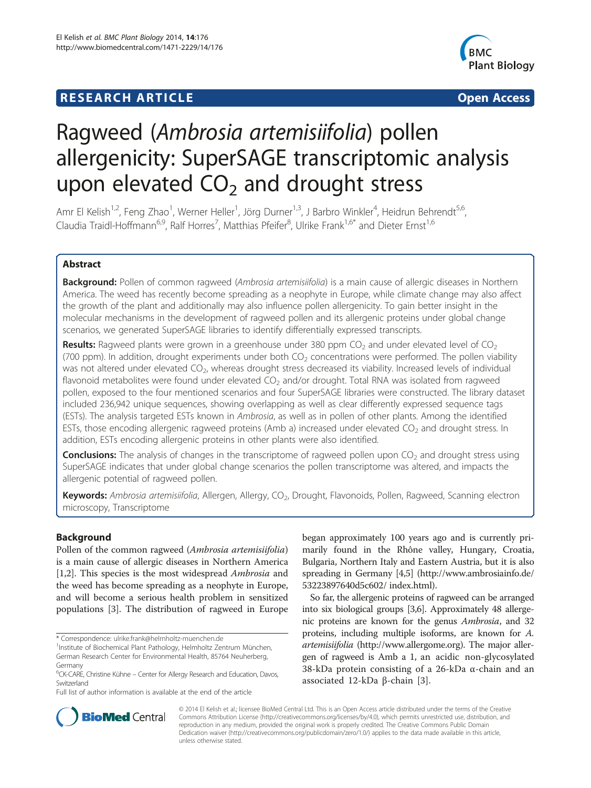## **RESEARCH ARTICLE Example 2014 12:30 The SEAR CHIPS 2014 12:30 The SEAR CHIPS 2014 12:30 The SEAR CHIPS 2014 12:30**



# Ragweed (Ambrosia artemisiifolia) pollen allergenicity: SuperSAGE transcriptomic analysis upon elevated  $CO<sub>2</sub>$  and drought stress

Amr El Kelish<sup>1,2</sup>, Feng Zhao<sup>1</sup>, Werner Heller<sup>1</sup>, Jörg Durner<sup>1,3</sup>, J Barbro Winkler<sup>4</sup>, Heidrun Behrendt<sup>5,6</sup>, Claudia Traidl-Hoffmann<sup>6,9</sup>, Ralf Horres<sup>7</sup>, Matthias Pfeifer<sup>8</sup>, Ulrike Frank<sup>1,6\*</sup> and Dieter Ernst<sup>1,6</sup>

## Abstract

**Background:** Pollen of common ragweed (Ambrosia artemisiifolia) is a main cause of allergic diseases in Northern America. The weed has recently become spreading as a neophyte in Europe, while climate change may also affect the growth of the plant and additionally may also influence pollen allergenicity. To gain better insight in the molecular mechanisms in the development of ragweed pollen and its allergenic proteins under global change scenarios, we generated SuperSAGE libraries to identify differentially expressed transcripts.

**Results:** Ragweed plants were grown in a greenhouse under 380 ppm  $CO<sub>2</sub>$  and under elevated level of  $CO<sub>2</sub>$ (700 ppm). In addition, drought experiments under both  $CO<sub>2</sub>$  concentrations were performed. The pollen viability was not altered under elevated CO<sub>2</sub>, whereas drought stress decreased its viability. Increased levels of individual flavonoid metabolites were found under elevated CO<sub>2</sub> and/or drought. Total RNA was isolated from ragweed pollen, exposed to the four mentioned scenarios and four SuperSAGE libraries were constructed. The library dataset included 236,942 unique sequences, showing overlapping as well as clear differently expressed sequence tags (ESTs). The analysis targeted ESTs known in Ambrosia, as well as in pollen of other plants. Among the identified ESTs, those encoding allergenic ragweed proteins (Amb a) increased under elevated  $CO<sub>2</sub>$  and drought stress. In addition, ESTs encoding allergenic proteins in other plants were also identified.

**Conclusions:** The analysis of changes in the transcriptome of ragweed pollen upon  $CO<sub>2</sub>$  and drought stress using SuperSAGE indicates that under global change scenarios the pollen transcriptome was altered, and impacts the allergenic potential of ragweed pollen.

Keywords: Ambrosia artemisiifolia, Allergen, Allergy, CO<sub>2</sub>, Drought, Flavonoids, Pollen, Ragweed, Scanning electron microscopy, Transcriptome

## Background

Pollen of the common ragweed (Ambrosia artemisiifolia) is a main cause of allergic diseases in Northern America [[1,2\]](#page-13-0). This species is the most widespread Ambrosia and the weed has become spreading as a neophyte in Europe, and will become a serious health problem in sensitized populations [\[3\]](#page-13-0). The distribution of ragweed in Europe

Full list of author information is available at the end of the article

began approximately 100 years ago and is currently primarily found in the Rhône valley, Hungary, Croatia, Bulgaria, Northern Italy and Eastern Austria, but it is also spreading in Germany [\[4,5\]](#page-13-0) ([http://www.ambrosiainfo.de/](http://www.ambrosiainfo.de/%2053223897640d5c602/%20index.html) [53223897640d5c602/ index.html](http://www.ambrosiainfo.de/%2053223897640d5c602/%20index.html)).

So far, the allergenic proteins of ragweed can be arranged into six biological groups [\[3,6](#page-13-0)]. Approximately 48 allergenic proteins are known for the genus Ambrosia, and 32 proteins, including multiple isoforms, are known for A. artemisiifolia [\(http://www.allergome.org\)](http://www.allergome.org). The major allergen of ragweed is Amb a 1, an acidic non-glycosylated 38-kDa protein consisting of a 26-kDa α-chain and an associated 12-kDa β-chain [[3\]](#page-13-0).



© 2014 El Kelish et al.; licensee BioMed Central Ltd. This is an Open Access article distributed under the terms of the Creative Commons Attribution License [\(http://creativecommons.org/licenses/by/4.0\)](http://creativecommons.org/licenses/by/4.0), which permits unrestricted use, distribution, and reproduction in any medium, provided the original work is properly credited. The Creative Commons Public Domain Dedication waiver [\(http://creativecommons.org/publicdomain/zero/1.0/](http://creativecommons.org/publicdomain/zero/1.0/)) applies to the data made available in this article, unless otherwise stated.

<sup>\*</sup> Correspondence: [ulrike.frank@helmholtz-muenchen.de](mailto:ulrike.frank@helmholtz-muenchen.de) <sup>1</sup>

<sup>&</sup>lt;sup>1</sup>Institute of Biochemical Plant Pathology, Helmholtz Zentrum München, German Research Center for Environmental Health, 85764 Neuherberg, Germany

<sup>&</sup>lt;sup>6</sup>CK-CARE, Christine Kühne – Center for Allergy Research and Education, Davos, Switzerland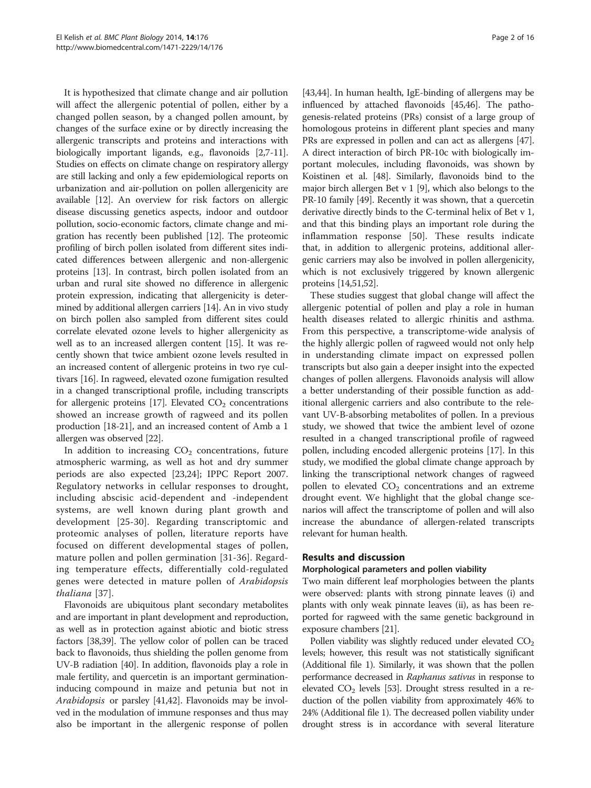It is hypothesized that climate change and air pollution will affect the allergenic potential of pollen, either by a changed pollen season, by a changed pollen amount, by changes of the surface exine or by directly increasing the allergenic transcripts and proteins and interactions with biologically important ligands, e.g., flavonoids [[2,7](#page-13-0)-[11](#page-13-0)]. Studies on effects on climate change on respiratory allergy are still lacking and only a few epidemiological reports on urbanization and air-pollution on pollen allergenicity are available [\[12\]](#page-13-0). An overview for risk factors on allergic disease discussing genetics aspects, indoor and outdoor pollution, socio-economic factors, climate change and migration has recently been published [[12](#page-13-0)]. The proteomic profiling of birch pollen isolated from different sites indicated differences between allergenic and non-allergenic proteins [[13](#page-13-0)]. In contrast, birch pollen isolated from an urban and rural site showed no difference in allergenic protein expression, indicating that allergenicity is determined by additional allergen carriers [[14](#page-13-0)]. An in vivo study on birch pollen also sampled from different sites could correlate elevated ozone levels to higher allergenicity as well as to an increased allergen content [\[15](#page-13-0)]. It was recently shown that twice ambient ozone levels resulted in an increased content of allergenic proteins in two rye cultivars [\[16\]](#page-13-0). In ragweed, elevated ozone fumigation resulted in a changed transcriptional profile, including transcripts for allergenic proteins [[17](#page-13-0)]. Elevated  $CO<sub>2</sub>$  concentrations showed an increase growth of ragweed and its pollen production [\[18-21](#page-13-0)], and an increased content of Amb a 1 allergen was observed [[22](#page-13-0)].

In addition to increasing  $CO<sub>2</sub>$  concentrations, future atmospheric warming, as well as hot and dry summer periods are also expected [\[23,24](#page-13-0)]; IPPC Report 2007. Regulatory networks in cellular responses to drought, including abscisic acid-dependent and -independent systems, are well known during plant growth and development [[25](#page-13-0)-[30](#page-14-0)]. Regarding transcriptomic and proteomic analyses of pollen, literature reports have focused on different developmental stages of pollen, mature pollen and pollen germination [[31-36\]](#page-14-0). Regarding temperature effects, differentially cold-regulated genes were detected in mature pollen of Arabidopsis thaliana [[37](#page-14-0)].

Flavonoids are ubiquitous plant secondary metabolites and are important in plant development and reproduction, as well as in protection against abiotic and biotic stress factors [\[38,39\]](#page-14-0). The yellow color of pollen can be traced back to flavonoids, thus shielding the pollen genome from UV-B radiation [[40](#page-14-0)]. In addition, flavonoids play a role in male fertility, and quercetin is an important germinationinducing compound in maize and petunia but not in Arabidopsis or parsley [\[41,42\]](#page-14-0). Flavonoids may be involved in the modulation of immune responses and thus may also be important in the allergenic response of pollen

[[43](#page-14-0),[44](#page-14-0)]. In human health, IgE-binding of allergens may be influenced by attached flavonoids [[45,46\]](#page-14-0). The pathogenesis-related proteins (PRs) consist of a large group of homologous proteins in different plant species and many PRs are expressed in pollen and can act as allergens [[47](#page-14-0)]. A direct interaction of birch PR-10c with biologically important molecules, including flavonoids, was shown by Koistinen et al. [\[48\]](#page-14-0). Similarly, flavonoids bind to the major birch allergen Bet v 1 [\[9](#page-13-0)], which also belongs to the PR-10 family [\[49](#page-14-0)]. Recently it was shown, that a quercetin derivative directly binds to the C-terminal helix of Bet v 1, and that this binding plays an important role during the inflammation response [[50](#page-14-0)]. These results indicate that, in addition to allergenic proteins, additional allergenic carriers may also be involved in pollen allergenicity, which is not exclusively triggered by known allergenic proteins [\[14,](#page-13-0)[51,52](#page-14-0)].

These studies suggest that global change will affect the allergenic potential of pollen and play a role in human health diseases related to allergic rhinitis and asthma. From this perspective, a transcriptome-wide analysis of the highly allergic pollen of ragweed would not only help in understanding climate impact on expressed pollen transcripts but also gain a deeper insight into the expected changes of pollen allergens. Flavonoids analysis will allow a better understanding of their possible function as additional allergenic carriers and also contribute to the relevant UV-B-absorbing metabolites of pollen. In a previous study, we showed that twice the ambient level of ozone resulted in a changed transcriptional profile of ragweed pollen, including encoded allergenic proteins [[17](#page-13-0)]. In this study, we modified the global climate change approach by linking the transcriptional network changes of ragweed pollen to elevated  $CO<sub>2</sub>$  concentrations and an extreme drought event. We highlight that the global change scenarios will affect the transcriptome of pollen and will also increase the abundance of allergen-related transcripts relevant for human health.

## Results and discussion

## Morphological parameters and pollen viability

Two main different leaf morphologies between the plants were observed: plants with strong pinnate leaves (i) and plants with only weak pinnate leaves (ii), as has been reported for ragweed with the same genetic background in exposure chambers [[21](#page-13-0)].

Pollen viability was slightly reduced under elevated  $CO<sub>2</sub>$ levels; however, this result was not statistically significant (Additional file [1](#page-12-0)). Similarly, it was shown that the pollen performance decreased in Raphanus sativus in response to elevated  $CO<sub>2</sub>$  levels [\[53\]](#page-14-0). Drought stress resulted in a reduction of the pollen viability from approximately 46% to 24% (Additional file [1](#page-12-0)). The decreased pollen viability under drought stress is in accordance with several literature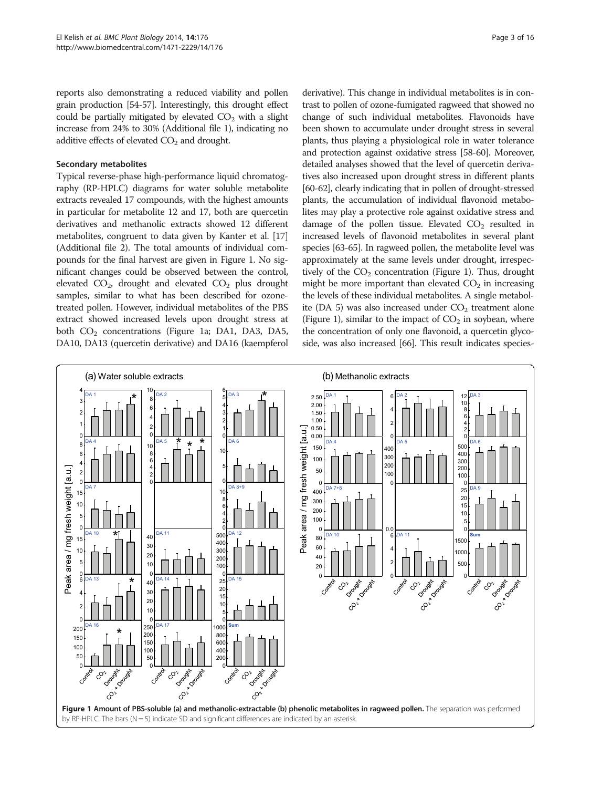reports also demonstrating a reduced viability and pollen grain production [[54-57\]](#page-14-0). Interestingly, this drought effect could be partially mitigated by elevated  $CO<sub>2</sub>$  with a slight increase from 24% to 30% (Additional file [1](#page-12-0)), indicating no additive effects of elevated  $CO<sub>2</sub>$  and drought.

#### Secondary metabolites

Typical reverse-phase high-performance liquid chromatography (RP-HPLC) diagrams for water soluble metabolite extracts revealed 17 compounds, with the highest amounts in particular for metabolite 12 and 17, both are quercetin derivatives and methanolic extracts showed 12 different metabolites, congruent to data given by Kanter et al. [[17](#page-13-0)] (Additional file [2](#page-12-0)). The total amounts of individual compounds for the final harvest are given in Figure 1. No significant changes could be observed between the control, elevated  $CO<sub>2</sub>$ , drought and elevated  $CO<sub>2</sub>$  plus drought samples, similar to what has been described for ozonetreated pollen. However, individual metabolites of the PBS extract showed increased levels upon drought stress at both  $CO<sub>2</sub>$  concentrations (Figure 1a; DA1, DA3, DA5, DA10, DA13 (quercetin derivative) and DA16 (kaempferol

derivative). This change in individual metabolites is in contrast to pollen of ozone-fumigated ragweed that showed no change of such individual metabolites. Flavonoids have been shown to accumulate under drought stress in several plants, thus playing a physiological role in water tolerance and protection against oxidative stress [\[58-60](#page-14-0)]. Moreover, detailed analyses showed that the level of quercetin derivatives also increased upon drought stress in different plants [[60](#page-14-0)-[62](#page-14-0)], clearly indicating that in pollen of drought-stressed plants, the accumulation of individual flavonoid metabolites may play a protective role against oxidative stress and damage of the pollen tissue. Elevated  $CO<sub>2</sub>$  resulted in increased levels of flavonoid metabolites in several plant species [\[63-65\]](#page-14-0). In ragweed pollen, the metabolite level was approximately at the same levels under drought, irrespectively of the  $CO<sub>2</sub>$  concentration (Figure 1). Thus, drought might be more important than elevated  $CO<sub>2</sub>$  in increasing the levels of these individual metabolites. A single metabolite (DA 5) was also increased under  $CO<sub>2</sub>$  treatment alone (Figure 1), similar to the impact of  $CO<sub>2</sub>$  in soybean, where the concentration of only one flavonoid, a quercetin glycoside, was also increased [\[66\]](#page-14-0). This result indicates species-

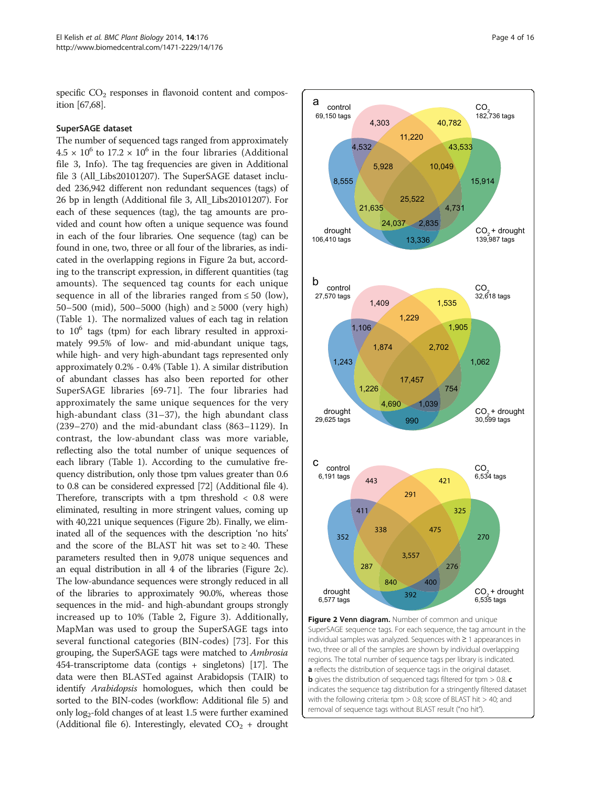specific  $CO<sub>2</sub>$  responses in flavonoid content and composition [\[67,68](#page-14-0)].

#### SuperSAGE dataset

The number of sequenced tags ranged from approximately  $4.5 \times 10^6$  to  $17.2 \times 10^6$  in the four libraries (Additional file [3](#page-12-0), Info). The tag frequencies are given in Additional file [3](#page-12-0) (All\_Libs20101207). The SuperSAGE dataset included 236,942 different non redundant sequences (tags) of 26 bp in length (Additional file [3](#page-12-0), All\_Libs20101207). For each of these sequences (tag), the tag amounts are provided and count how often a unique sequence was found in each of the four libraries. One sequence (tag) can be found in one, two, three or all four of the libraries, as indicated in the overlapping regions in Figure 2a but, according to the transcript expression, in different quantities (tag amounts). The sequenced tag counts for each unique sequence in all of the libraries ranged from  $\leq 50$  (low), 50–500 (mid), 500–5000 (high) and ≥ 5000 (very high) (Table [1\)](#page-4-0). The normalized values of each tag in relation to  $10^6$  tags (tpm) for each library resulted in approximately 99.5% of low- and mid-abundant unique tags, while high- and very high-abundant tags represented only approximately 0.2% - 0.4% (Table [1\)](#page-4-0). A similar distribution of abundant classes has also been reported for other SuperSAGE libraries [[69-71](#page-14-0)]. The four libraries had approximately the same unique sequences for the very high-abundant class (31–37), the high abundant class (239–270) and the mid-abundant class (863–1129). In contrast, the low-abundant class was more variable, reflecting also the total number of unique sequences of each library (Table [1](#page-4-0)). According to the cumulative frequency distribution, only those tpm values greater than 0.6 to 0.8 can be considered expressed [\[72\]](#page-15-0) (Additional file [4](#page-12-0)). Therefore, transcripts with a tpm threshold < 0.8 were eliminated, resulting in more stringent values, coming up with 40,221 unique sequences (Figure 2b). Finally, we eliminated all of the sequences with the description 'no hits' and the score of the BLAST hit was set to  $\geq 40$ . These parameters resulted then in 9,078 unique sequences and an equal distribution in all 4 of the libraries (Figure 2c). The low-abundance sequences were strongly reduced in all of the libraries to approximately 90.0%, whereas those sequences in the mid- and high-abundant groups strongly increased up to 10% (Table [2,](#page-4-0) Figure [3](#page-5-0)). Additionally, MapMan was used to group the SuperSAGE tags into several functional categories (BIN-codes) [[73](#page-15-0)]. For this grouping, the SuperSAGE tags were matched to Ambrosia 454-transcriptome data (contigs + singletons) [[17](#page-13-0)]. The data were then BLASTed against Arabidopsis (TAIR) to identify Arabidopsis homologues, which then could be sorted to the BIN-codes (workflow: Additional file [5](#page-12-0)) and only log2-fold changes of at least 1.5 were further examined (Additional file [6](#page-12-0)). Interestingly, elevated  $CO<sub>2</sub> +$  drought



Figure 2 Venn diagram. Number of common and unique SuperSAGE sequence tags. For each sequence, the tag amount in the individual samples was analyzed. Sequences with ≥ 1 appearances in two, three or all of the samples are shown by individual overlapping regions. The total number of sequence tags per library is indicated. a reflects the distribution of sequence tags in the original dataset. **b** gives the distribution of sequenced tags filtered for tpm > 0.8. **c** indicates the sequence tag distribution for a stringently filtered dataset with the following criteria: tpm > 0.8; score of BLAST hit > 40; and removal of sequence tags without BLAST result ("no hit").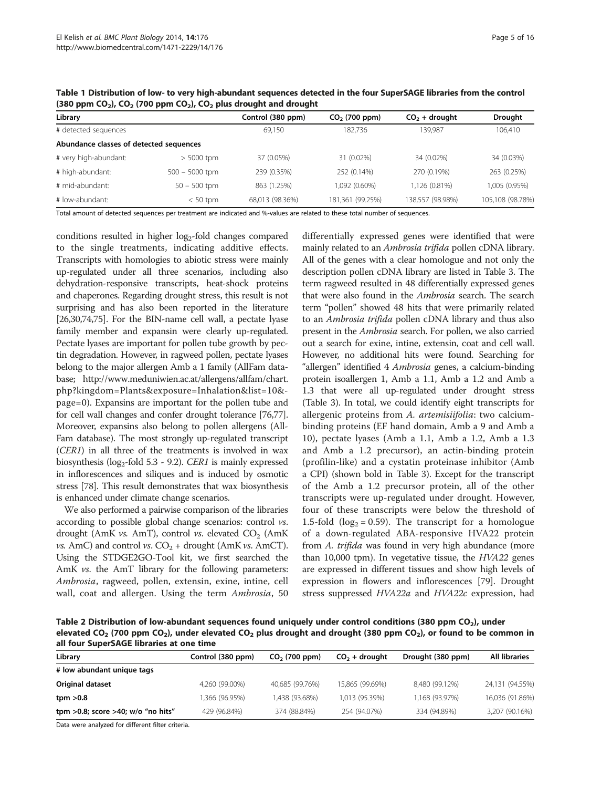| Page 5 of 16 |  |  |
|--------------|--|--|
|              |  |  |

| Library                                 |                  | Control (380 ppm) | $CO2$ (700 ppm)  | $CO2 +$ drought  | <b>Drought</b>   |
|-----------------------------------------|------------------|-------------------|------------------|------------------|------------------|
| # detected sequences                    |                  | 69.150            | 182.736          | 139.987          | 106,410          |
| Abundance classes of detected sequences |                  |                   |                  |                  |                  |
| # very high-abundant:                   | $> 5000$ tpm     | 37 (0.05%)        | 31 (0.02%)       | 34 (0.02%)       | 34 (0.03%)       |
| # high-abundant:                        | $500 - 5000$ tpm | 239 (0.35%)       | 252 (0.14%)      | 270 (0.19%)      | 263 (0.25%)      |
| # mid-abundant:                         | $50 - 500$ tpm   | 863 (1.25%)       | 1,092 (0.60%)    | 1,126 (0.81%)    | 1,005 (0.95%)    |
| # low-abundant:                         | $< 50$ tpm       | 68,013 (98.36%)   | 181,361 (99.25%) | 138,557 (98.98%) | 105,108 (98.78%) |

<span id="page-4-0"></span>Table 1 Distribution of low- to very high-abundant sequences detected in the four SuperSAGE libraries from the control (380 ppm  $CO<sub>2</sub>$ ),  $CO<sub>2</sub>$  (700 ppm  $CO<sub>2</sub>$ ),  $CO<sub>2</sub>$  plus drought and drought

Total amount of detected sequences per treatment are indicated and %-values are related to these total number of sequences.

conditions resulted in higher  $log<sub>2</sub>$ -fold changes compared to the single treatments, indicating additive effects. Transcripts with homologies to abiotic stress were mainly up-regulated under all three scenarios, including also dehydration-responsive transcripts, heat-shock proteins and chaperones. Regarding drought stress, this result is not surprising and has also been reported in the literature [[26](#page-13-0)[,30,](#page-14-0)[74,75\]](#page-15-0). For the BIN-name cell wall, a pectate lyase family member and expansin were clearly up-regulated. Pectate lyases are important for pollen tube growth by pectin degradation. However, in ragweed pollen, pectate lyases belong to the major allergen Amb a 1 family (AllFam database; [http://www.meduniwien.ac.at/allergens/allfam/chart.](http://www.meduniwien.ac.at/allergens/allfam/chart.php?kingdom=Plants&exposure=Inhalation&list=10&page=0) [php?kingdom=Plants&exposure=Inhalation&list=10&](http://www.meduniwien.ac.at/allergens/allfam/chart.php?kingdom=Plants&exposure=Inhalation&list=10&page=0) [page=0](http://www.meduniwien.ac.at/allergens/allfam/chart.php?kingdom=Plants&exposure=Inhalation&list=10&page=0)). Expansins are important for the pollen tube and for cell wall changes and confer drought tolerance [\[76,77](#page-15-0)]. Moreover, expansins also belong to pollen allergens (All-Fam database). The most strongly up-regulated transcript (CER1) in all three of the treatments is involved in wax biosynthesis (log<sub>2</sub>-fold 5.3 - 9.2). CER1 is mainly expressed in inflorescences and siliques and is induced by osmotic stress [[78](#page-15-0)]. This result demonstrates that wax biosynthesis is enhanced under climate change scenarios.

We also performed a pairwise comparison of the libraries according to possible global change scenarios: control vs. drought (AmK vs. AmT), control vs. elevated  $CO<sub>2</sub>$  (AmK *vs.* AmC) and control *vs.*  $CO_2$  + drought (AmK *vs.* AmCT). Using the STDGE2GO-Tool kit, we first searched the AmK vs. the AmT library for the following parameters: Ambrosia, ragweed, pollen, extensin, exine, intine, cell wall, coat and allergen. Using the term Ambrosia, 50 differentially expressed genes were identified that were mainly related to an Ambrosia trifida pollen cDNA library. All of the genes with a clear homologue and not only the description pollen cDNA library are listed in Table [3](#page-6-0). The term ragweed resulted in 48 differentially expressed genes that were also found in the Ambrosia search. The search term "pollen" showed 48 hits that were primarily related to an Ambrosia trifida pollen cDNA library and thus also present in the *Ambrosia* search. For pollen, we also carried out a search for exine, intine, extensin, coat and cell wall. However, no additional hits were found. Searching for "allergen" identified 4 Ambrosia genes, a calcium-binding protein isoallergen 1, Amb a 1.1, Amb a 1.2 and Amb a 1.3 that were all up-regulated under drought stress (Table [3](#page-6-0)). In total, we could identify eight transcripts for allergenic proteins from A. artemisiifolia: two calciumbinding proteins (EF hand domain, Amb a 9 and Amb a 10), pectate lyases (Amb a 1.1, Amb a 1.2, Amb a 1.3 and Amb a 1.2 precursor), an actin-binding protein (profilin-like) and a cystatin proteinase inhibitor (Amb a CPI) (shown bold in Table [3\)](#page-6-0). Except for the transcript of the Amb a 1.2 precursor protein, all of the other transcripts were up-regulated under drought. However, four of these transcripts were below the threshold of 1.5-fold ( $log_2$  = 0.59). The transcript for a homologue of a down-regulated ABA-responsive HVA22 protein from A. trifida was found in very high abundance (more than 10,000 tpm). In vegetative tissue, the HVA22 genes are expressed in different tissues and show high levels of expression in flowers and inflorescences [\[79](#page-15-0)]. Drought stress suppressed HVA22a and HVA22c expression, had

Table 2 Distribution of low-abundant sequences found uniquely under control conditions (380 ppm  $CO<sub>2</sub>$ ), under elevated CO<sub>2</sub> (700 ppm CO<sub>2</sub>), under elevated CO<sub>2</sub> plus drought and drought (380 ppm CO<sub>2</sub>), or found to be common in all four SuperSAGE libraries at one time

| Library                              | Control (380 ppm) | $CO2$ (700 ppm) | $CO2 +$ drought | Drought (380 ppm) | <b>All libraries</b> |
|--------------------------------------|-------------------|-----------------|-----------------|-------------------|----------------------|
| # low abundant unique tags           |                   |                 |                 |                   |                      |
| Original dataset                     | 4,260 (99.00%)    | 40,685 (99.76%) | 15,865 (99.69%) | 8,480 (99.12%)    | 24,131 (94.55%)      |
| tpm > 0.8                            | 1,366 (96.95%)    | 1,438 (93.68%)  | 1,013 (95.39%)  | 1,168 (93.97%)    | 16,036 (91.86%)      |
| tpm >0.8; score >40; $w/o$ "no hits" | 429 (96.84%)      | 374 (88.84%)    | 254 (94.07%)    | 334 (94.89%)      | 3,207 (90.16%)       |
|                                      |                   |                 |                 |                   |                      |

Data were analyzed for different filter criteria.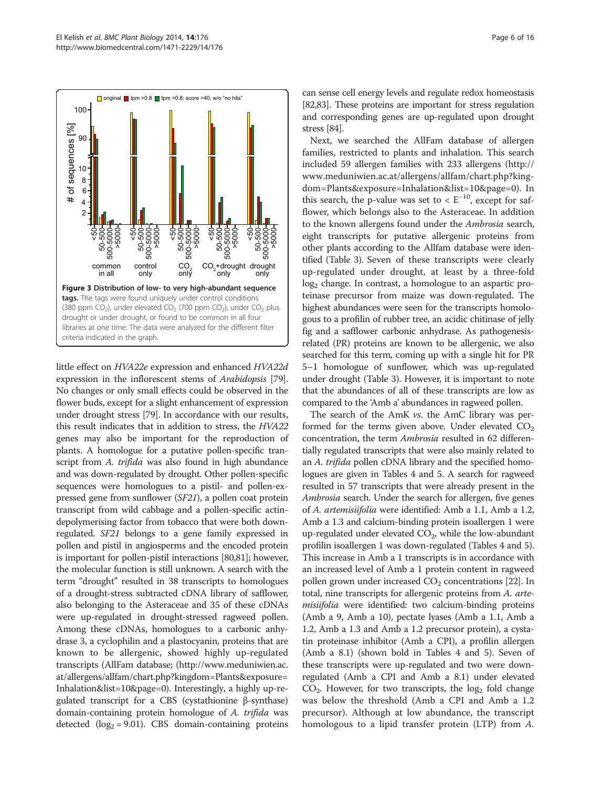<span id="page-5-0"></span>

little effect on HVA22e expression and enhanced HVA22d expression in the inflorescent stems of Arabidopsis [[79](#page-15-0)]. No changes or only small effects could be observed in the flower buds, except for a slight enhancement of expression under drought stress [[79](#page-15-0)]. In accordance with our results, this result indicates that in addition to stress, the HVA22 genes may also be important for the reproduction of plants. A homologue for a putative pollen-specific transcript from A. trifida was also found in high abundance and was down-regulated by drought. Other pollen-specific sequences were homologues to a pistil- and pollen-expressed gene from sunflower (SF21), a pollen coat protein transcript from wild cabbage and a pollen-specific actindepolymerising factor from tobacco that were both downregulated. SF21 belongs to a gene family expressed in pollen and pistil in angiosperms and the encoded protein is important for pollen-pistil interactions [\[80,81](#page-15-0)]; however, the molecular function is still unknown. A search with the term "drought" resulted in 38 transcripts to homologues of a drought-stress subtracted cDNA library of safflower, also belonging to the Asteraceae and 35 of these cDNAs were up-regulated in drought-stressed ragweed pollen. Among these cDNAs, homologues to a carbonic anhydrase 3, a cyclophilin and a plastocyanin, proteins that are known to be allergenic, showed highly up-regulated transcripts (AllFam database; [\(http://www.meduniwien.ac.](http://www.meduniwien.ac.at/allergens/allfam/chart.php?kingdom=Plants&exposure=Inhalation&list=10&page=0) [at/allergens/allfam/chart.php?kingdom=Plants&exposure=](http://www.meduniwien.ac.at/allergens/allfam/chart.php?kingdom=Plants&exposure=Inhalation&list=10&page=0) [Inhalation&list=10&page=0](http://www.meduniwien.ac.at/allergens/allfam/chart.php?kingdom=Plants&exposure=Inhalation&list=10&page=0)). Interestingly, a highly up-regulated transcript for a CBS (cystathionine β-synthase) domain-containing protein homologue of A. trifida was detected  $(log_2 = 9.01)$ . CBS domain-containing proteins

can sense cell energy levels and regulate redox homeostasis [[82,83\]](#page-15-0). These proteins are important for stress regulation and corresponding genes are up-regulated upon drought stress [\[84\]](#page-15-0).

Next, we searched the AllFam database of allergen families, restricted to plants and inhalation. This search included 59 allergen families with 233 allergens [\(http://](http://www.meduniwien.ac.at/allergens/allfam/chart.php?kingdom=Plants&exposure=Inhalation&list=10&page=0) [www.meduniwien.ac.at/allergens/allfam/chart.php?king](http://www.meduniwien.ac.at/allergens/allfam/chart.php?kingdom=Plants&exposure=Inhalation&list=10&page=0)[dom=Plants&exposure=Inhalation&list=10&page=0](http://www.meduniwien.ac.at/allergens/allfam/chart.php?kingdom=Plants&exposure=Inhalation&list=10&page=0)). In this search, the p-value was set to <  $E^{-10}$ , except for safflower, which belongs also to the Asteraceae. In addition to the known allergens found under the Ambrosia search, eight transcripts for putative allergenic proteins from other plants according to the Allfam database were identified (Table [3](#page-6-0)). Seven of these transcripts were clearly up-regulated under drought, at least by a three-fold  $log<sub>2</sub>$  change. In contrast, a homologue to an aspartic proteinase precursor from maize was down-regulated. The highest abundances were seen for the transcripts homologous to a profilin of rubber tree, an acidic chitinase of jelly fig and a safflower carbonic anhydrase. As pathogenesisrelated (PR) proteins are known to be allergenic, we also searched for this term, coming up with a single hit for PR 5–1 homologue of sunflower, which was up-regulated under drought (Table [3](#page-6-0)). However, it is important to note that the abundances of all of these transcripts are low as compared to the 'Amb a' abundances in ragweed pollen.

The search of the AmK vs. the AmC library was performed for the terms given above. Under elevated  $CO<sub>2</sub>$ concentration, the term Ambrosia resulted in 62 differentially regulated transcripts that were also mainly related to an A. trifida pollen cDNA library and the specified homologues are given in Tables [4](#page-7-0) and [5.](#page-8-0) A search for ragweed resulted in 57 transcripts that were already present in the Ambrosia search. Under the search for allergen, five genes of A. artemisiifolia were identified: Amb a 1.1, Amb a 1.2, Amb a 1.3 and calcium-binding protein isoallergen 1 were up-regulated under elevated  $CO<sub>2</sub>$ , while the low-abundant profilin isoallergen 1 was down-regulated (Tables [4](#page-7-0) and [5](#page-8-0)). This increase in Amb a 1 transcripts is in accordance with an increased level of Amb a 1 protein content in ragweed pollen grown under increased  $CO<sub>2</sub>$  concentrations [\[22](#page-13-0)]. In total, nine transcripts for allergenic proteins from A. arte*misiifolia* were identified: two calcium-binding proteins (Amb a 9, Amb a 10), pectate lyases (Amb a 1.1, Amb a 1.2, Amb a 1.3 and Amb a 1.2 precursor protein), a cystatin proteinase inhibitor (Amb a CPI), a profilin allergen (Amb a 8.1) (shown bold in Tables [4](#page-7-0) and [5\)](#page-8-0). Seven of these transcripts were up-regulated and two were downregulated (Amb a CPI and Amb a 8.1) under elevated  $CO<sub>2</sub>$ . However, for two transcripts, the  $log<sub>2</sub>$  fold change was below the threshold (Amb a CPI and Amb a 1.2 precursor). Although at low abundance, the transcript homologous to a lipid transfer protein (LTP) from A.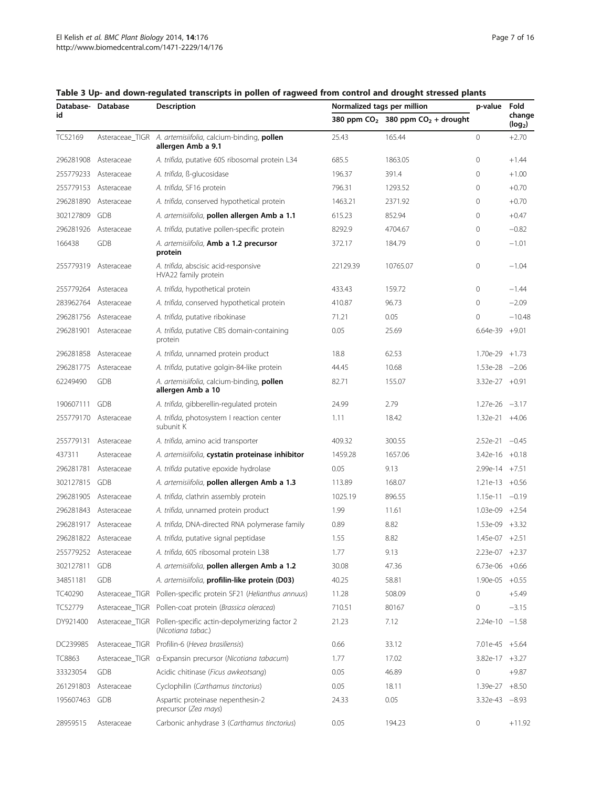| Database- Database |                      | <b>Description</b>                                                               | Normalized tags per million | p-value                               | Fold               |                               |
|--------------------|----------------------|----------------------------------------------------------------------------------|-----------------------------|---------------------------------------|--------------------|-------------------------------|
| id                 |                      |                                                                                  |                             | 380 ppm $CO2$ 380 ppm $CO2$ + drought |                    | change<br>(log <sub>2</sub> ) |
| TC52169            |                      | Asteraceae_TIGR A. artemisiifolia, calcium-binding, pollen<br>allergen Amb a 9.1 | 25.43                       | 165.44                                | 0                  | $+2.70$                       |
| 296281908          | Asteraceae           | A. trifida, putative 60S ribosomal protein L34                                   | 685.5                       | 1863.05                               | 0                  | $+1.44$                       |
| 255779233          | Asteraceae           | A. trifida, ß-glucosidase                                                        | 196.37                      | 391.4                                 | 0                  | $+1.00$                       |
| 255779153          | Asteraceae           | A. trifida, SF16 protein                                                         | 796.31                      | 1293.52                               | 0                  | $+0.70$                       |
| 296281890          | Asteraceae           | A. trifida, conserved hypothetical protein                                       | 1463.21                     | 2371.92                               | 0                  | $+0.70$                       |
| 302127809          | <b>GDB</b>           | A. artemisiifolia, pollen allergen Amb a 1.1                                     | 615.23                      | 852.94                                | 0                  | $+0.47$                       |
| 296281926          | Asteraceae           | A. trifida, putative pollen-specific protein                                     | 8292.9                      | 4704.67                               | 0                  | $-0.82$                       |
| 166438             | <b>GDB</b>           | A. artemisiifolia, Amb a 1.2 precursor<br>protein                                | 372.17                      | 184.79                                | 0                  | $-1.01$                       |
|                    | 255779319 Asteraceae | A. trifida, abscisic acid-responsive<br>HVA22 family protein                     | 22129.39                    | 10765.07                              | 0                  | $-1.04$                       |
| 255779264          | Asteracea            | A. trifida, hypothetical protein                                                 | 433.43                      | 159.72                                | 0                  | $-1.44$                       |
| 283962764          | Asteraceae           | A. trifida, conserved hypothetical protein                                       | 410.87                      | 96.73                                 | 0                  | $-2.09$                       |
| 296281756          | Asteraceae           | A. trifida, putative ribokinase                                                  | 71.21                       | 0.05                                  | 0                  | $-10.48$                      |
| 296281901          | Asteraceae           | A. trifida, putative CBS domain-containing<br>protein                            | 0.05                        | 25.69                                 | $6.64e-39$ +9.01   |                               |
| 296281858          | Asteraceae           | A. trifida, unnamed protein product                                              | 18.8                        | 62.53                                 | 1.70e-29           | $+1.73$                       |
| 296281775          | Asteraceae           | A. trifida, putative golgin-84-like protein                                      | 44.45                       | 10.68                                 | $1.53e-28 -2.06$   |                               |
| 62249490           | <b>GDB</b>           | A. artemisiifolia, calcium-binding, pollen<br>allergen Amb a 10                  | 82.71                       | 155.07                                | 3.32e-27 +0.91     |                               |
| 190607111          | GDB                  | A. trifida, gibberellin-regulated protein                                        | 24.99                       | 2.79                                  | $1.27e-26 -3.17$   |                               |
| 255779170          | Asteraceae           | A. trifida, photosystem I reaction center<br>subunit K                           | 1.11                        | 18.42                                 | $1.32e-21 +4.06$   |                               |
| 255779131          | Asteraceae           | A. trifida, amino acid transporter                                               | 409.32                      | 300.55                                | $2.52e-21 -0.45$   |                               |
| 437311             | Asteraceae           | A. artemisiifolia, cystatin proteinase inhibitor                                 | 1459.28                     | 1657.06                               | $3.42e-16$ +0.18   |                               |
| 296281781          | Asteraceae           | A. trifida putative epoxide hydrolase                                            | 0.05                        | 9.13                                  | 2.99e-14 +7.51     |                               |
| 302127815          | GDB                  | A. artemisiifolia, pollen allergen Amb a 1.3                                     | 113.89                      | 168.07                                | $1.21e-13 +0.56$   |                               |
| 296281905          | Asteraceae           | A. trifida, clathrin assembly protein                                            | 1025.19                     | 896.55                                | $1.15e-11 -0.19$   |                               |
| 296281843          | Asteraceae           | A. trifida, unnamed protein product                                              | 1.99                        | 11.61                                 | $1.03e-09$ +2.54   |                               |
| 296281917          | Asteraceae           | A. trifida, DNA-directed RNA polymerase family                                   | 0.89                        | 8.82                                  | $1.53e-09$ $+3.32$ |                               |
| 296281822          | Asteraceae           | A. trifida, putative signal peptidase                                            | 1.55                        | 8.82                                  | $1.45e-07 + 2.51$  |                               |
| 255779252          | Asteraceae           | A. trifida, 60S ribosomal protein L38                                            | 1.77                        | 9.13                                  | 2.23e-07 +2.37     |                               |
| 302127811          | GDB                  | A. artemisiifolia, pollen allergen Amb a 1.2                                     | 30.08                       | 47.36                                 | $6.73e-06$ $+0.66$ |                               |
| 34851181           | GDB                  | A. artemisiifolia, profilin-like protein (D03)                                   | 40.25                       | 58.81                                 | $1.90e-05 +0.55$   |                               |
| TC40290            | Asteraceae_TIGR      | Pollen-specific protein SF21 (Helianthus annuus)                                 | 11.28                       | 508.09                                | 0                  | $+5.49$                       |
| TC52779            | Asteraceae_TIGR      | Pollen-coat protein (Brassica oleracea)                                          | 710.51                      | 80167                                 | 0                  | $-3.15$                       |
| DY921400           | Asteraceae_TIGR      | Pollen-specific actin-depolymerizing factor 2<br>(Nicotiana tabac.)              | 21.23                       | 7.12                                  | $2.24e-10 -1.58$   |                               |
| DC239985           |                      | Asteraceae_TIGR Profilin-6 (Hevea brasiliensis)                                  | 0.66                        | 33.12                                 | $7.01e-45 + 5.64$  |                               |
| <b>TC8863</b>      |                      | Asteraceae_TIGR a-Expansin precursor (Nicotiana tabacum)                         | 1.77                        | 17.02                                 | $3.82e-17 +3.27$   |                               |
| 33323054           | GDB                  | Acidic chitinase (Ficus awkeotsang)                                              | 0.05                        | 46.89                                 | 0                  | $+9.87$                       |
| 261291803          | Asteraceae           | Cyclophilin (Carthamus tinctorius)                                               | 0.05                        | 18.11                                 | $1.39e-27 +8.50$   |                               |
| 195607463          | GDB                  | Aspartic proteinase nepenthesin-2<br>precursor (Zea mays)                        | 24.33                       | 0.05                                  | $3.32e-43 -8.93$   |                               |
| 28959515           | Asteraceae           | Carbonic anhydrase 3 (Carthamus tinctorius)                                      | 0.05                        | 194.23                                | 0                  | $+11.92$                      |

## <span id="page-6-0"></span>Table 3 Up- and down-regulated transcripts in pollen of ragweed from control and drought stressed plants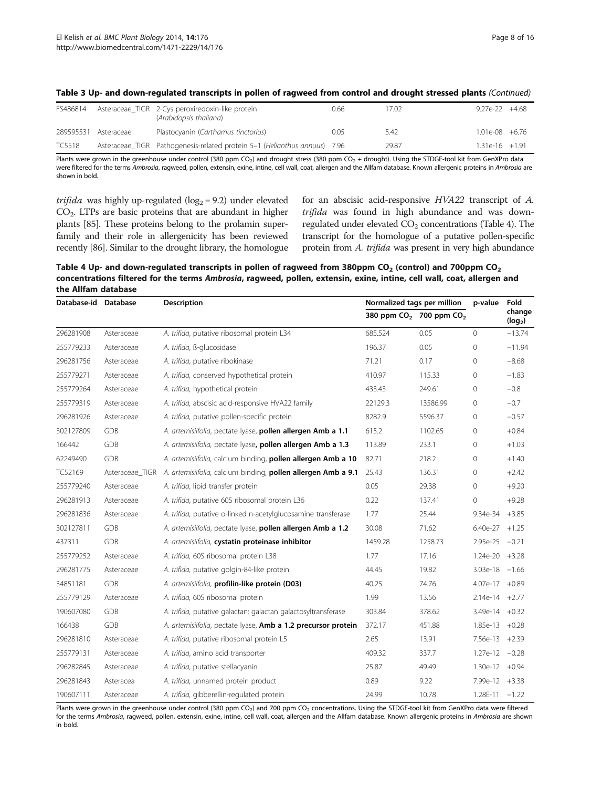| FS486814      |            | Asteraceae_TIGR 2-Cys peroxiredoxin-like protein<br>(Arabidopsis thaliana) | 0.66 | 7.02  | $927e-22 + 468$  |  |
|---------------|------------|----------------------------------------------------------------------------|------|-------|------------------|--|
| 289595531     | Asteraceae | Plastocyanin (Carthamus tinctorius)                                        | 0.05 | 5.42  | 1.01e-08 +6.76   |  |
| <b>TC5518</b> |            | Asteraceae TIGR Pathogenesis-related protein 5–1 (Helianthus annuus) 7.96  |      | 29.87 | $1.31e-16 +1.91$ |  |

#### <span id="page-7-0"></span>Table 3 Up- and down-regulated transcripts in pollen of ragweed from control and drought stressed plants (Continued)

Plants were grown in the greenhouse under control (380 ppm CO<sub>2</sub>) and drought stress (380 ppm CO<sub>2</sub> + drought). Using the STDGE-tool kit from GenXPro data were filtered for the terms Ambrosia, ragweed, pollen, extensin, exine, intine, cell wall, coat, allergen and the Allfam database. Known allergenic proteins in Ambrosia are shown in bold.

trifida was highly up-regulated ( $log<sub>2</sub> = 9.2$ ) under elevated CO2. LTPs are basic proteins that are abundant in higher plants [\[85\]](#page-15-0). These proteins belong to the prolamin superfamily and their role in allergenicity has been reviewed recently [[86](#page-15-0)]. Similar to the drought library, the homologue for an abscisic acid-responsive HVA22 transcript of A. trifida was found in high abundance and was downregulated under elevated  $CO<sub>2</sub>$  concentrations (Table 4). The transcript for the homologue of a putative pollen-specific protein from A. trifida was present in very high abundance

Table 4 Up- and down-regulated transcripts in pollen of ragweed from 380ppm CO<sub>2</sub> (control) and 700ppm CO<sub>2</sub> concentrations filtered for the terms Ambrosia, ragweed, pollen, extensin, exine, intine, cell wall, coat, allergen and the Allfam database

| Database-id Database |                 | <b>Description</b>                                            | Normalized tags per million |                                                 | Fold<br>p-value   |                               |
|----------------------|-----------------|---------------------------------------------------------------|-----------------------------|-------------------------------------------------|-------------------|-------------------------------|
|                      |                 |                                                               |                             | 380 ppm CO <sub>2</sub> 700 ppm CO <sub>2</sub> |                   | change<br>(log <sub>2</sub> ) |
| 296281908            | Asteraceae      | A. trifida, putative ribosomal protein L34                    | 685.524                     | 0.05                                            | $\circ$           | $-13.74$                      |
| 255779233            | Asteraceae      | A. trifida, ß-glucosidase                                     | 196.37                      | 0.05                                            | $\mathbf{0}$      | $-11.94$                      |
| 296281756            | Asteraceae      | A. trifida, putative ribokinase                               | 71.21                       | 0.17                                            | $\mathbf{0}$      | $-8.68$                       |
| 255779271            | Asteraceae      | A. trifida, conserved hypothetical protein                    | 410.97                      | 115.33                                          | $\mathbf{0}$      | $-1.83$                       |
| 255779264            | Asteraceae      | A. trifida, hypothetical protein                              | 433.43                      | 249.61                                          | $\mathbf{0}$      | $-0.8$                        |
| 255779319            | Asteraceae      | A. trifida, abscisic acid-responsive HVA22 family             | 22129.3                     | 13586.99                                        | $\Omega$          | $-0.7$                        |
| 296281926            | Asteraceae      | A. trifida, putative pollen-specific protein                  | 8282.9                      | 5596.37                                         | $\mathbf 0$       | $-0.57$                       |
| 302127809            | <b>GDB</b>      | A. artemisiifolia, pectate lyase, pollen allergen Amb a 1.1   | 615.2                       | 1102.65                                         | $\mathbf{0}$      | $+0.84$                       |
| 166442               | <b>GDB</b>      | A. artemisiifolia, pectate lyase, pollen allergen Amb a 1.3   | 113.89                      | 233.1                                           | 0                 | $+1.03$                       |
| 62249490             | <b>GDB</b>      | A. artemisiifolia, calcium binding, pollen allergen Amb a 10  | 82.71                       | 218.2                                           | $\mathbf{0}$      | $+1.40$                       |
| TC52169              | Asteraceae_TIGR | A. artemisiifolia, calcium binding, pollen allergen Amb a 9.1 | 25.43                       | 136.31                                          | $\mathbf 0$       | $+2.42$                       |
| 255779240            | Asteraceae      | A. trifida, lipid transfer protein                            | 0.05                        | 29.38                                           | 0                 | $+9.20$                       |
| 296281913            | Asteraceae      | A. trifida, putative 60S ribosomal protein L36                | 0.22                        | 137.41                                          | $\Omega$          | $+9.28$                       |
| 296281836            | Asteraceae      | A. trifida, putative o-linked n-acetylglucosamine transferase | 1.77                        | 25.44                                           | $9.34e-34 +3.85$  |                               |
| 302127811            | <b>GDB</b>      | A. artemisiifolia, pectate lyase, pollen allergen Amb a 1.2   | 30.08                       | 71.62                                           | $6.40e-27 +1.25$  |                               |
| 437311               | <b>GDB</b>      | A. artemisiifolia, cystatin proteinase inhibitor              | 1459.28                     | 1258.73                                         | $2.95e-25 -0.21$  |                               |
| 255779252            | Asteraceae      | A. trifida, 60S ribosomal protein L38                         | 1.77                        | 17.16                                           | $1.24e-20 +3.28$  |                               |
| 296281775            | Asteraceae      | A. trifida, putative golgin-84-like protein                   | 44.45                       | 19.82                                           | $3.03e-18 - 1.66$ |                               |
| 34851181             | <b>GDB</b>      | A. artemisiifolia, profilin-like protein (D03)                | 40.25                       | 74.76                                           | 4.07e-17 +0.89    |                               |
| 255779129            | Asteraceae      | A. trifida, 60S ribosomal protein                             | 1.99                        | 13.56                                           | $2.14e-14 +2.77$  |                               |
| 190607080            | <b>GDB</b>      | A. trifida, putative galactan: galactan galactosyltransferase | 303.84                      | 378.62                                          | 3.49e-14 +0.32    |                               |
| 166438               | GDB             | A. artemisiifolia, pectate lyase, Amb a 1.2 precursor protein | 372.17                      | 451.88                                          | $1.85e-13 +0.28$  |                               |
| 296281810            | Asteraceae      | A. trifida, putative ribosomal protein L5                     | 2.65                        | 13.91                                           | 7.56e-13 +2.39    |                               |
| 255779131            | Asteraceae      | A. trifida, amino acid transporter                            | 409.32                      | 337.7                                           | $1.27e-12 -0.28$  |                               |
| 296282845            | Asteraceae      | A. trifida, putative stellacyanin                             | 25.87                       | 49.49                                           | $1.30e-12 +0.94$  |                               |
| 296281843            | Asteracea       | A. trifida, unnamed protein product                           | 0.89                        | 9.22                                            | 7.99e-12 +3.38    |                               |
| 190607111            | Asteraceae      | A. trifida, gibberellin-regulated protein                     | 24.99                       | 10.78                                           | $1.28E-11 -1.22$  |                               |

Plants were grown in the greenhouse under control (380 ppm CO<sub>2</sub>) and 700 ppm CO<sub>2</sub> concentrations. Using the STDGE-tool kit from GenXPro data were filtered for the terms Ambrosia, ragweed, pollen, extensin, exine, intine, cell wall, coat, allergen and the Allfam database. Known allergenic proteins in Ambrosia are shown in bold.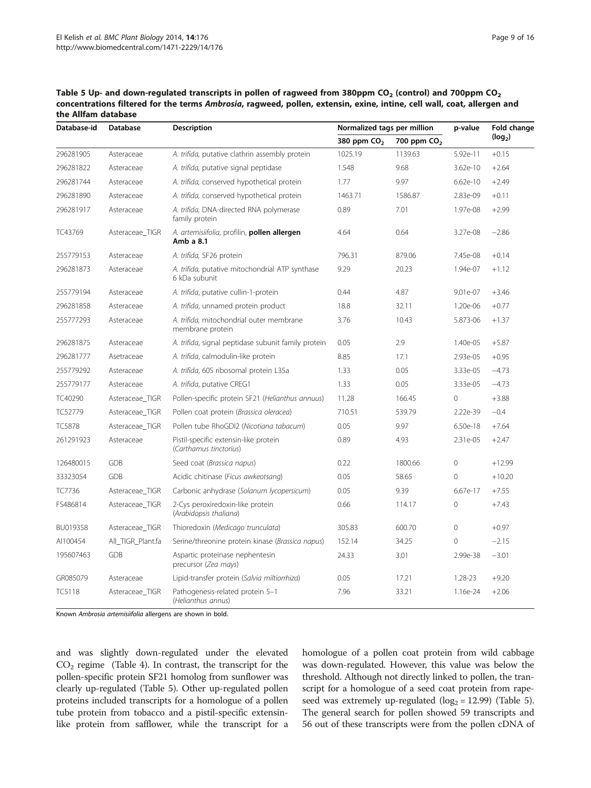| Database-id   | Database          | Description                                                      | Normalized tags per million |                         | p-value  | Fold change         |
|---------------|-------------------|------------------------------------------------------------------|-----------------------------|-------------------------|----------|---------------------|
|               |                   |                                                                  | 380 ppm CO <sub>2</sub>     | 700 ppm CO <sub>2</sub> |          | (log <sub>2</sub> ) |
| 296281905     | Asteraceae        | A. trifida, putative clathrin assembly protein                   | 1025.19                     | 1139.63                 | 5.92e-11 | $+0.15$             |
| 296281822     | Asteraceae        | A. trifida, putative signal peptidase                            | 1.548                       | 9.68                    | 3.62e-10 | $+2.64$             |
| 296281744     | Asteraceae        | A. trifida, conserved hypothetical protein                       | 1.77                        | 9.97                    | 6.62e-10 | $+2.49$             |
| 296281890     | Asteraceae        | A. trifida, conserved hypothetical protein                       | 1463.71                     | 1586.87                 | 2.83e-09 | $+0.11$             |
| 296281917     | Asteraceae        | A. trifida, DNA-directed RNA polymerase<br>family protein        | 0.89                        | 7.01                    | 1.97e-08 | $+2.99$             |
| TC43769       | Asteraceae_TIGR   | A. artemisiifolia, profilin, <b>pollen allergen</b><br>Amb a 8.1 | 4.64                        | 0.64                    | 3.27e-08 | $-2.86$             |
| 255779153     | Asteraceae        | A. trifida, SF26 protein                                         | 796.31                      | 879.06                  | 7.45e-08 | $+0.14$             |
| 296281873     | Asteraceae        | A. trifida, putative mitochondrial ATP synthase<br>6 kDa subunit | 9.29                        | 20.23                   | 1.94e-07 | $+1.12$             |
| 255779194     | Asteraceae        | A. trifida, putative cullin-1-protein                            | 0.44                        | 4.87                    | 9.01e-07 | $+3.46$             |
| 296281858     | Asteraceae        | A. trifida, unnamed protein product                              | 18.8                        | 32.11                   | 1.20e-06 | $+0.77$             |
| 255777293     | Asteraceae        | A. trifida, mitochondrial outer membrane<br>membrane protein     | 3.76                        | 10.43                   | 5.873-06 | $+1.37$             |
| 296281875     | Asteraceae        | A. trifida, signal peptidase subunit family protein              | 0.05                        | 2.9                     | 1.40e-05 | $+5.87$             |
| 296281777     | Asetraceae        | A. trifida, calmodulin-like protein                              | 8.85                        | 17.1                    | 2.93e-05 | $+0.95$             |
| 255779292     | Asteraceae        | A. trifida, 60S ribosomal protein L35a                           | 1.33                        | 0.05                    | 3.33e-05 | $-4.73$             |
| 255779177     | Asteraceae        | A. trifida, putative CREG1                                       | 1.33                        | 0.05                    | 3.33e-05 | $-4.73$             |
| TC40290       | Asteraceae_TIGR   | Pollen-specific protein SF21 (Helianthus annuus)                 | 11.28                       | 166.45                  | 0        | $+3.88$             |
| TC52779       | Asteraceae_TIGR   | Pollen coat protein (Brassica oleracea)                          | 710.51                      | 539.79                  | 2.22e-39 | $-0.4$              |
| <b>TC5878</b> | Asteraceae_TIGR   | Pollen tube RhoGDI2 (Nicotiana tabacum)                          | 0.05                        | 9.97                    | 6.50e-18 | $+7.64$             |
| 261291923     | Asteraceae        | Pistil-specific extensin-like protein<br>(Carthamus tinctorius)  | 0.89                        | 4.93                    | 2.31e-05 | $+2.47$             |
| 126480015     | <b>GDB</b>        | Seed coat (Brassica napus)                                       | 0.22                        | 1800.66                 | 0        | $+12.99$            |
| 33323054      | <b>GDB</b>        | Acidic chitinase (Ficus awkeotsang)                              | 0.05                        | 58.65                   | 0        | $+10.20$            |
| TC7736        | Asteraceae TIGR   | Carbonic anhydrase (Solanum lycopersicum)                        | 0.05                        | 9.39                    | 6.67e-17 | $+7.55$             |
| FS486814      | Asteraceae_TIGR   | 2-Cys peroxiredoxin-like protein<br>(Arabidopsis thaliana)       | 0.66                        | 114.17                  | 0        | $+7.43$             |
| BU019358      | Asteraceae TIGR   | Thioredoxin (Medicago trunculata)                                | 305.83                      | 600.70                  | 0        | $+0.97$             |
| AI100454      | All TIGR Plant.fa | Serine/threonine protein kinase (Brassica napus)                 | 152.14                      | 34.25                   | 0        | $-2.15$             |
| 195607463     | <b>GDB</b>        | Aspartic proteinase nephentesin<br>precursor (Zea mays)          | 24.33                       | 3.01                    | 2.99e-38 | $-3.01$             |
| GR085079      | Asteraceae        | Lipid-transfer protein (Salvia miltiorrhiza)                     | 0.05                        | 17.21                   | 1.28-23  | $+9.20$             |
| <b>TC5118</b> | Asteraceae_TIGR   | Pathogenesis-related protein 5-1<br>(Helianthus annus)           | 7.96                        | 33.21                   | 1.16e-24 | $+2.06$             |

<span id="page-8-0"></span>Table 5 Up- and down-regulated transcripts in pollen of ragweed from 380ppm  $CO<sub>2</sub>$  (control) and 700ppm  $CO<sub>2</sub>$ concentrations filtered for the terms Ambrosia, ragweed, pollen, extensin, exine, intine, cell wall, coat, allergen and the Allfam database

Known Ambrosia artemisiifolia allergens are shown in bold.

and was slightly down-regulated under the elevated  $CO<sub>2</sub>$  regime (Table [4\)](#page-7-0). In contrast, the transcript for the pollen-specific protein SF21 homolog from sunflower was clearly up-regulated (Table 5). Other up-regulated pollen proteins included transcripts for a homologue of a pollen tube protein from tobacco and a pistil-specific extensinlike protein from safflower, while the transcript for a homologue of a pollen coat protein from wild cabbage was down-regulated. However, this value was below the threshold. Although not directly linked to pollen, the transcript for a homologue of a seed coat protein from rapeseed was extremely up-regulated ( $log_2$  = 12.99) (Table 5). The general search for pollen showed 59 transcripts and 56 out of these transcripts were from the pollen cDNA of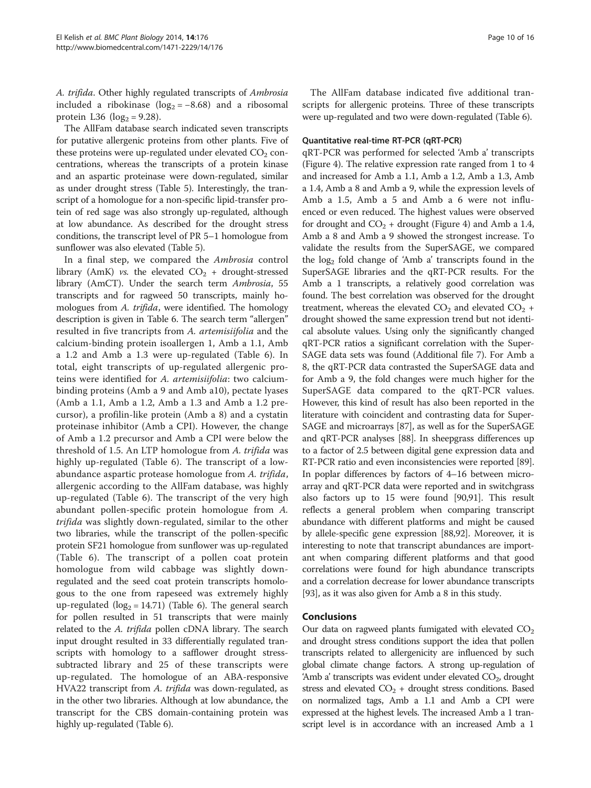A. trifida. Other highly regulated transcripts of Ambrosia included a ribokinase ( $log_2 = -8.68$ ) and a ribosomal protein L36 ( $log_2 = 9.28$ ).

The AllFam database search indicated seven transcripts for putative allergenic proteins from other plants. Five of these proteins were up-regulated under elevated  $CO<sub>2</sub>$  concentrations, whereas the transcripts of a protein kinase and an aspartic proteinase were down-regulated, similar as under drought stress (Table [5](#page-8-0)). Interestingly, the transcript of a homologue for a non-specific lipid-transfer protein of red sage was also strongly up-regulated, although at low abundance. As described for the drought stress conditions, the transcript level of PR 5–1 homologue from sunflower was also elevated (Table [5](#page-8-0)).

In a final step, we compared the Ambrosia control library (AmK) vs. the elevated  $CO<sub>2</sub> +$  drought-stressed library (AmCT). Under the search term Ambrosia, 55 transcripts and for ragweed 50 transcripts, mainly homologues from A. trifida, were identified. The homology description is given in Table [6.](#page-10-0) The search term "allergen" resulted in five trancripts from A. artemisiifolia and the calcium-binding protein isoallergen 1, Amb a 1.1, Amb a 1.2 and Amb a 1.3 were up-regulated (Table [6\)](#page-10-0). In total, eight transcripts of up-regulated allergenic proteins were identified for A. artemisiifolia: two calciumbinding proteins (Amb a 9 and Amb a10), pectate lyases (Amb a 1.1, Amb a 1.2, Amb a 1.3 and Amb a 1.2 precursor), a profilin-like protein (Amb a 8) and a cystatin proteinase inhibitor (Amb a CPI). However, the change of Amb a 1.2 precursor and Amb a CPI were below the threshold of 1.5. An LTP homologue from A. trifida was highly up-regulated (Table [6\)](#page-10-0). The transcript of a lowabundance aspartic protease homologue from A. trifida, allergenic according to the AllFam database, was highly up-regulated (Table [6](#page-10-0)). The transcript of the very high abundant pollen-specific protein homologue from A. trifida was slightly down-regulated, similar to the other two libraries, while the transcript of the pollen-specific protein SF21 homologue from sunflower was up-regulated (Table [6\)](#page-10-0). The transcript of a pollen coat protein homologue from wild cabbage was slightly downregulated and the seed coat protein transcripts homologous to the one from rapeseed was extremely highly up-regulated  $(log_2 = 14.71)$  (Table [6\)](#page-10-0). The general search for pollen resulted in 51 transcripts that were mainly related to the A. trifida pollen cDNA library. The search input drought resulted in 33 differentially regulated transcripts with homology to a safflower drought stresssubtracted library and 25 of these transcripts were up-regulated. The homologue of an ABA-responsive HVA22 transcript from A. trifida was down-regulated, as in the other two libraries. Although at low abundance, the transcript for the CBS domain-containing protein was highly up-regulated (Table [6](#page-10-0)).

The AllFam database indicated five additional transcripts for allergenic proteins. Three of these transcripts were up-regulated and two were down-regulated (Table [6](#page-10-0)).

#### Quantitative real-time RT-PCR (qRT-PCR)

qRT-PCR was performed for selected 'Amb a' transcripts (Figure [4\)](#page-11-0). The relative expression rate ranged from 1 to 4 and increased for Amb a 1.1, Amb a 1.2, Amb a 1.3, Amb a 1.4, Amb a 8 and Amb a 9, while the expression levels of Amb a 1.5, Amb a 5 and Amb a 6 were not influenced or even reduced. The highest values were observed for drought and  $CO<sub>2</sub> +$  drought (Figure [4](#page-11-0)) and Amb a 1.4, Amb a 8 and Amb a 9 showed the strongest increase. To validate the results from the SuperSAGE, we compared the  $log<sub>2</sub>$  fold change of 'Amb a' transcripts found in the SuperSAGE libraries and the qRT-PCR results. For the Amb a 1 transcripts, a relatively good correlation was found. The best correlation was observed for the drought treatment, whereas the elevated  $CO<sub>2</sub>$  and elevated  $CO<sub>2</sub>$  + drought showed the same expression trend but not identical absolute values. Using only the significantly changed qRT-PCR ratios a significant correlation with the Super-SAGE data sets was found (Additional file [7](#page-13-0)). For Amb a 8, the qRT-PCR data contrasted the SuperSAGE data and for Amb a 9, the fold changes were much higher for the SuperSAGE data compared to the qRT-PCR values. However, this kind of result has also been reported in the literature with coincident and contrasting data for Super-SAGE and microarrays [[87](#page-15-0)], as well as for the SuperSAGE and qRT-PCR analyses [[88](#page-15-0)]. In sheepgrass differences up to a factor of 2.5 between digital gene expression data and RT-PCR ratio and even inconsistencies were reported [[89](#page-15-0)]. In poplar differences by factors of 4–16 between microarray and qRT-PCR data were reported and in switchgrass also factors up to 15 were found [[90,91\]](#page-15-0). This result reflects a general problem when comparing transcript abundance with different platforms and might be caused by allele-specific gene expression [\[88,92\]](#page-15-0). Moreover, it is interesting to note that transcript abundances are important when comparing different platforms and that good correlations were found for high abundance transcripts and a correlation decrease for lower abundance transcripts [[93](#page-15-0)], as it was also given for Amb a 8 in this study.

## Conclusions

Our data on ragweed plants fumigated with elevated  $CO<sub>2</sub>$ and drought stress conditions support the idea that pollen transcripts related to allergenicity are influenced by such global climate change factors. A strong up-regulation of 'Amb a' transcripts was evident under elevated  $CO<sub>2</sub>$ , drought stress and elevated  $CO<sub>2</sub>$  + drought stress conditions. Based on normalized tags, Amb a 1.1 and Amb a CPI were expressed at the highest levels. The increased Amb a 1 transcript level is in accordance with an increased Amb a 1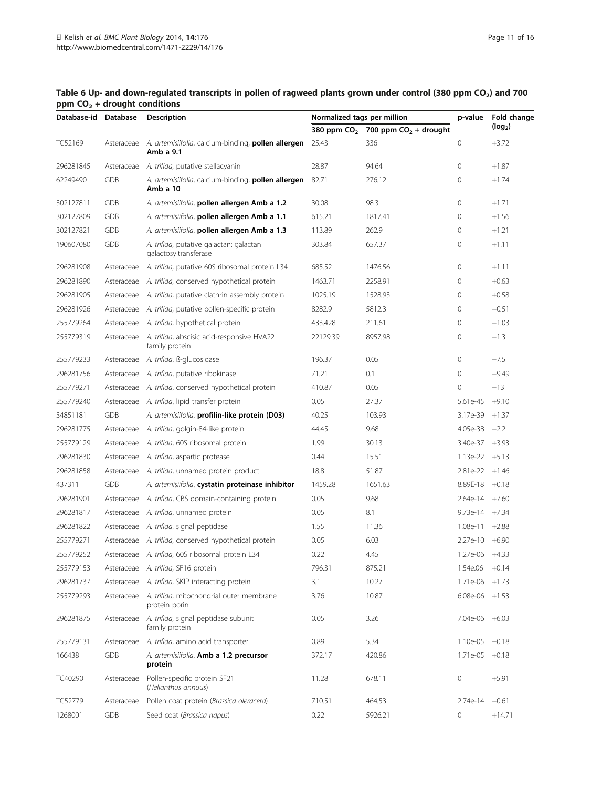| Database-id Database |            | <b>Description</b>                                                     | Normalized tags per million |                                       | p-value            | Fold change         |  |
|----------------------|------------|------------------------------------------------------------------------|-----------------------------|---------------------------------------|--------------------|---------------------|--|
|                      |            |                                                                        |                             | 380 ppm $CO2$ 700 ppm $CO2$ + drought |                    | (log <sub>2</sub> ) |  |
| TC52169              | Asteraceae | A. artemisiifolia, calcium-binding, pollen allergen<br>Amb a 9.1       | 25.43                       | 336                                   | $\circ$            | $+3.72$             |  |
| 296281845            | Asteraceae | A. trifida, putative stellacyanin                                      | 28.87                       | 94.64                                 | $\mathbf{0}$       | $+1.87$             |  |
| 62249490             | GDB        | A. artemisiifolia, calcium-binding, <b>pollen allergen</b><br>Amb a 10 | 82.71                       | 276.12                                | $\circ$            | $+1.74$             |  |
| 302127811            | <b>GDB</b> | A. artemisiifolia, pollen allergen Amb a 1.2                           | 30.08                       | 98.3                                  | $\mathbf{0}$       | $+1.71$             |  |
| 302127809            | <b>GDB</b> | A. artemisiifolia, pollen allergen Amb a 1.1                           | 615.21                      | 1817.41                               | $\mathbf 0$        | $+1.56$             |  |
| 302127821            | GDB        | A. artemisiifolia, pollen allergen Amb a 1.3                           | 113.89                      | 262.9                                 | $\mathbf{0}$       | $+1.21$             |  |
| 190607080            | <b>GDB</b> | A. trifida, putative galactan: galactan<br>galactosyltransferase       | 303.84                      | 657.37                                | $\mathbf{0}$       | $+1.11$             |  |
| 296281908            | Asteraceae | A. trifida, putative 60S ribosomal protein L34                         | 685.52                      | 1476.56                               | $\mathbf 0$        | $+1.11$             |  |
| 296281890            | Asteraceae | A. trifida, conserved hypothetical protein                             | 1463.71                     | 2258.91                               | $\mathbf{0}$       | $+0.63$             |  |
| 296281905            | Asteraceae | A. trifida, putative clathrin assembly protein                         | 1025.19                     | 1528.93                               | $\mathbf{0}$       | $+0.58$             |  |
| 296281926            | Asteraceae | A. trifida, putative pollen-specific protein                           | 8282.9                      | 5812.3                                | $\mathbf{0}$       | $-0.51$             |  |
| 255779264            | Asteraceae | A. trifida, hypothetical protein                                       | 433.428                     | 211.61                                | $\mathbf{0}$       | $-1.03$             |  |
| 255779319            | Asteraceae | A. trifida, abscisic acid-responsive HVA22<br>family protein           | 22129.39                    | 8957.98                               | 0                  | $-1.3$              |  |
| 255779233            | Asteraceae | A. trifida, ß-glucosidase                                              | 196.37                      | 0.05                                  | 0                  | $-7.5$              |  |
| 296281756            | Asteraceae | A. trifida, putative ribokinase                                        | 71.21                       | 0.1                                   | $\circ$            | $-9.49$             |  |
| 255779271            | Asteraceae | A. trifida, conserved hypothetical protein                             | 410.87                      | 0.05                                  | $\mathbf{0}$       | $-13$               |  |
| 255779240            | Asteraceae | A. trifida, lipid transfer protein                                     | 0.05                        | 27.37                                 | 5.61e-45           | $+9.10$             |  |
| 34851181             | <b>GDB</b> | A. artemisiifolia, profilin-like protein (D03)                         | 40.25                       | 103.93                                | 3.17e-39           | $+1.37$             |  |
| 296281775            | Asteraceae | A. trifida, golgin-84-like protein                                     | 44.45                       | 9.68                                  | 4.05e-38           | $-2.2$              |  |
| 255779129            | Asteraceae | A. trifida, 60S ribosomal protein                                      | 1.99                        | 30.13                                 | $3.40e-37 +3.93$   |                     |  |
| 296281830            | Asteraceae | A. trifida, aspartic protease                                          | 0.44                        | 15.51                                 | $1.13e-22$         | $+5.13$             |  |
| 296281858            | Asteraceae | A. trifida, unnamed protein product                                    | 18.8                        | 51.87                                 | $2.81e-22 +1.46$   |                     |  |
| 437311               | <b>GDB</b> | A. artemisiifolia, cystatin proteinase inhibitor                       | 1459.28                     | 1651.63                               | 8.89E-18           | $+0.18$             |  |
| 296281901            | Asteraceae | A. trifida, CBS domain-containing protein                              | 0.05                        | 9.68                                  | 2.64e-14           | $+7.60$             |  |
| 296281817            | Asteraceae | A. trifida, unnamed protein                                            | 0.05                        | 8.1                                   | $9.73e-14 +7.34$   |                     |  |
| 296281822            | Asteraceae | A. trifida, signal peptidase                                           | 1.55                        | 11.36                                 | 1.08e-11           | $+2.88$             |  |
| 255779271            |            | Asteraceae A. trifida, conserved hypothetical protein                  | 0.05                        | 6.03                                  | $2.27e-10 +6.90$   |                     |  |
| 255779252            |            | Asteraceae A. trifida, 60S ribosomal protein L34                       | 0.22                        | 4.45                                  | $1.27e-06$ $+4.33$ |                     |  |
| 255779153            |            | Asteraceae A. trifida, SF16 protein                                    | 796.31                      | 875.21                                | 1.54e.06 +0.14     |                     |  |
| 296281737            | Asteraceae | A. trifida, SKIP interacting protein                                   | 3.1                         | 10.27                                 | 1.71e-06           | $+1.73$             |  |
| 255779293            | Asteraceae | A. trifida, mitochondrial outer membrane<br>protein porin              | 3.76                        | 10.87                                 | $6.08e-06$ +1.53   |                     |  |
| 296281875            | Asteraceae | A. trifida, signal peptidase subunit<br>family protein                 | 0.05                        | 3.26                                  | 7.04e-06 +6.03     |                     |  |
| 255779131            | Asteraceae | A. trifida, amino acid transporter                                     | 0.89                        | 5.34                                  | 1.10e-05           | $-0.18$             |  |
| 166438               | GDB        | A. artemisiifolia, <b>Amb a 1.2 precursor</b><br>protein               | 372.17                      | 420.86                                | 1.71e-05           | $+0.18$             |  |
| TC40290              | Asteraceae | Pollen-specific protein SF21<br>(Helianthus annuus)                    | 11.28                       | 678.11                                | 0                  | $+5.91$             |  |
| TC52779              | Asteraceae | Pollen coat protein (Brassica oleracera)                               | 710.51                      | 464.53                                | 2.74e-14           | $-0.61$             |  |
| 1268001              | GDB        | Seed coat (Brassica napus)                                             | 0.22                        | 5926.21                               | 0                  | $+14.71$            |  |

## <span id="page-10-0"></span>Table 6 Up- and down-regulated transcripts in pollen of ragweed plants grown under control (380 ppm  $CO<sub>2</sub>$ ) and 700 ppm  $CO<sub>2</sub>$  + drought conditions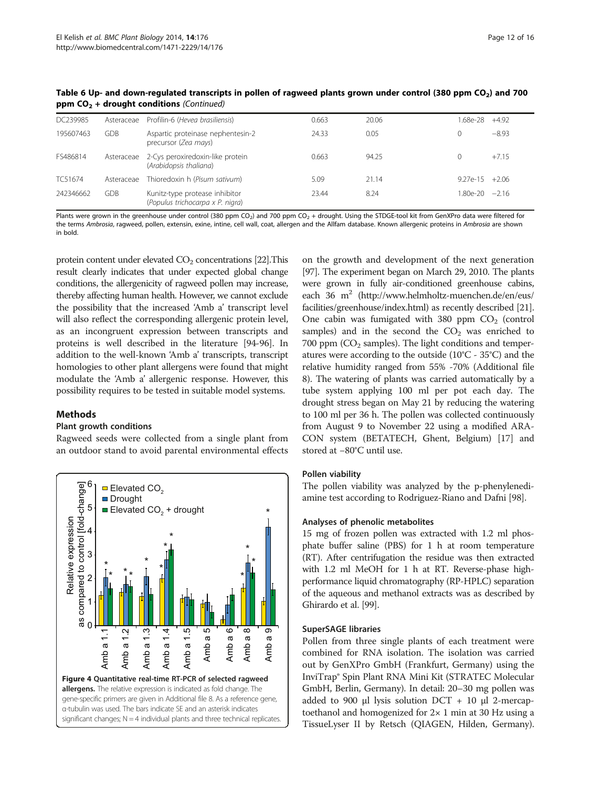| DC239985  | Asteraceae | Profilin-6 (Hevea brasiliensis)                                       | 0.663 | 20.06 |          | .68e-28 | $+4.92$           |
|-----------|------------|-----------------------------------------------------------------------|-------|-------|----------|---------|-------------------|
| 195607463 | <b>GDB</b> | Aspartic proteinase nephentesin-2<br>precursor (Zea mays)             | 24.33 | 0.05  | $\Omega$ |         | $-8.93$           |
| FS486814  |            | Asteraceae 2-Cys peroxiredoxin-like protein<br>(Arabidopsis thaliana) | 0.663 | 94.25 | $\Omega$ |         | $+7.15$           |
| TC51674   | Asteraceae | Thioredoxin h (Pisum sativum)                                         | 5.09  | 21.14 |          |         | $9.27e-15 + 2.06$ |
| 242346662 | <b>GDB</b> | Kunitz-type protease inhibitor<br>(Populus trichocarpa x P. nigra)    | 23.44 | 8.24  |          |         | 1.80e-20 —2.16    |

<span id="page-11-0"></span>Table 6 Up- and down-regulated transcripts in pollen of ragweed plants grown under control (380 ppm CO<sub>2</sub>) and 700 ppm  $CO<sub>2</sub>$  + drought conditions (Continued)

Plants were grown in the greenhouse under control (380 ppm CO<sub>2</sub>) and 700 ppm CO<sub>2</sub> + drought. Using the STDGE-tool kit from GenXPro data were filtered for the terms Ambrosia, ragweed, pollen, extensin, exine, intine, cell wall, coat, allergen and the Allfam database. Known allergenic proteins in Ambrosia are shown in bold.

protein content under elevated  $CO<sub>2</sub>$  concentrations [\[22](#page-13-0)]. This result clearly indicates that under expected global change conditions, the allergenicity of ragweed pollen may increase, thereby affecting human health. However, we cannot exclude the possibility that the increased 'Amb a' transcript level will also reflect the corresponding allergenic protein level, as an incongruent expression between transcripts and proteins is well described in the literature [\[94](#page-15-0)-[96](#page-15-0)]. In addition to the well-known 'Amb a' transcripts, transcript homologies to other plant allergens were found that might modulate the 'Amb a' allergenic response. However, this possibility requires to be tested in suitable model systems.

## Methods

## Plant growth conditions

Ragweed seeds were collected from a single plant from an outdoor stand to avoid parental environmental effects



on the growth and development of the next generation [[97](#page-15-0)]. The experiment began on March 29, 2010. The plants were grown in fully air-conditioned greenhouse cabins, each 36  $m^2$  [\(http://www.helmholtz-muenchen.de/en/eus/](http://www.helmholtz-muenchen.de/en/eus/facilities/greenhouse/index.html) [facilities/greenhouse/index.html](http://www.helmholtz-muenchen.de/en/eus/facilities/greenhouse/index.html)) as recently described [[21](#page-13-0)]. One cabin was fumigated with 380 ppm  $CO<sub>2</sub>$  (control samples) and in the second the  $CO<sub>2</sub>$  was enriched to 700 ppm  $(CO<sub>2</sub>$  samples). The light conditions and temperatures were according to the outside (10°C - 35°C) and the relative humidity ranged from 55% -70% (Additional file [8\)](#page-13-0). The watering of plants was carried automatically by a tube system applying 100 ml per pot each day. The drought stress began on May 21 by reducing the watering to 100 ml per 36 h. The pollen was collected continuously from August 9 to November 22 using a modified ARA-CON system (BETATECH, Ghent, Belgium) [[17](#page-13-0)] and stored at −80°C until use.

## Pollen viability

The pollen viability was analyzed by the p-phenylenediamine test according to Rodriguez-Riano and Dafni [\[98\]](#page-15-0).

## Analyses of phenolic metabolites

15 mg of frozen pollen was extracted with 1.2 ml phosphate buffer saline (PBS) for 1 h at room temperature (RT). After centrifugation the residue was then extracted with 1.2 ml MeOH for 1 h at RT. Reverse-phase highperformance liquid chromatography (RP-HPLC) separation of the aqueous and methanol extracts was as described by Ghirardo et al. [[99](#page-15-0)].

## SuperSAGE libraries

Pollen from three single plants of each treatment were combined for RNA isolation. The isolation was carried out by GenXPro GmbH (Frankfurt, Germany) using the InviTrap® Spin Plant RNA Mini Kit (STRATEC Molecular GmbH, Berlin, Germany). In detail: 20–30 mg pollen was added to 900 μl lysis solution  $DCT + 10$  μl 2-mercaptoethanol and homogenized for 2× 1 min at 30 Hz using a TissueLyser II by Retsch (QIAGEN, Hilden, Germany).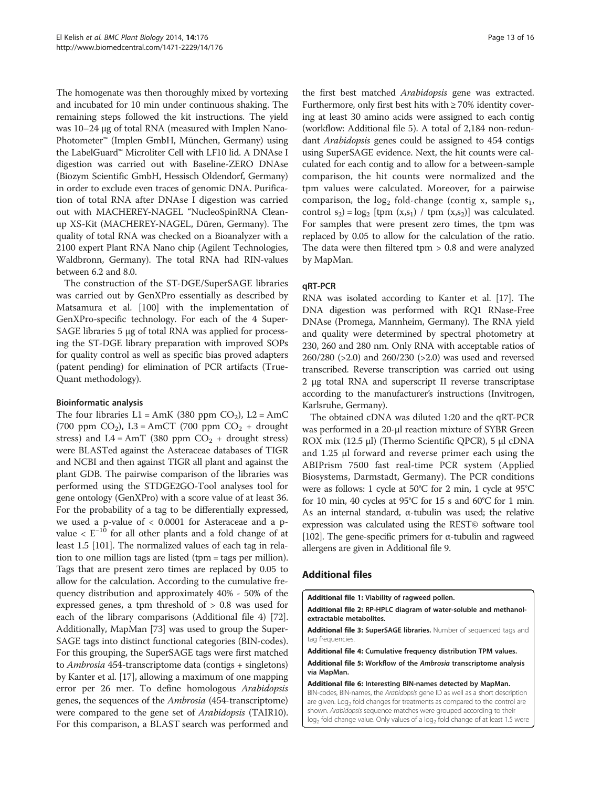<span id="page-12-0"></span>The homogenate was then thoroughly mixed by vortexing and incubated for 10 min under continuous shaking. The remaining steps followed the kit instructions. The yield was 10–24 μg of total RNA (measured with Implen Nano-Photometer™ (Implen GmbH, München, Germany) using the LabelGuard™ Microliter Cell with LF10 lid. A DNAse I digestion was carried out with Baseline-ZERO DNAse (Biozym Scientific GmbH, Hessisch Oldendorf, Germany) in order to exclude even traces of genomic DNA. Purification of total RNA after DNAse I digestion was carried out with MACHEREY-NAGEL "NucleoSpinRNA Cleanup XS-Kit (MACHEREY-NAGEL, Düren, Germany). The quality of total RNA was checked on a Bioanalyzer with a 2100 expert Plant RNA Nano chip (Agilent Technologies, Waldbronn, Germany). The total RNA had RIN-values between 6.2 and 8.0.

The construction of the ST-DGE/SuperSAGE libraries was carried out by GenXPro essentially as described by Matsamura et al. [[100\]](#page-15-0) with the implementation of GenXPro-specific technology. For each of the 4 Super-SAGE libraries 5 μg of total RNA was applied for processing the ST-DGE library preparation with improved SOPs for quality control as well as specific bias proved adapters (patent pending) for elimination of PCR artifacts (True-Quant methodology).

## Bioinformatic analysis

The four libraries  $L1 = AMK$  (380 ppm  $CO<sub>2</sub>$ ),  $L2 = AmC$ (700 ppm  $CO<sub>2</sub>$ ), L3 = AmCT (700 ppm  $CO<sub>2</sub>$  + drought stress) and  $L4 = AmT$  (380 ppm  $CO<sub>2</sub> +$  drought stress) were BLASTed against the Asteraceae databases of TIGR and NCBI and then against TIGR all plant and against the plant GDB. The pairwise comparison of the libraries was performed using the STDGE2GO-Tool analyses tool for gene ontology (GenXPro) with a score value of at least 36. For the probability of a tag to be differentially expressed, we used a p-value of < 0.0001 for Asteraceae and a pvalue < E−<sup>10</sup> for all other plants and a fold change of at least 1.5 [[101](#page-15-0)]. The normalized values of each tag in relation to one million tags are listed (tpm = tags per million). Tags that are present zero times are replaced by 0.05 to allow for the calculation. According to the cumulative frequency distribution and approximately 40% - 50% of the expressed genes, a tpm threshold of > 0.8 was used for each of the library comparisons (Additional file 4) [[72](#page-15-0)]. Additionally, MapMan [\[73](#page-15-0)] was used to group the Super-SAGE tags into distinct functional categories (BIN-codes). For this grouping, the SuperSAGE tags were first matched to Ambrosia 454-transcriptome data (contigs + singletons) by Kanter et al. [\[17\]](#page-13-0), allowing a maximum of one mapping error per 26 mer. To define homologous Arabidopsis genes, the sequences of the Ambrosia (454-transcriptome) were compared to the gene set of *Arabidopsis* (TAIR10). For this comparison, a BLAST search was performed and the first best matched Arabidopsis gene was extracted. Furthermore, only first best hits with  $\geq 70\%$  identity covering at least 30 amino acids were assigned to each contig (workflow: Additional file 5). A total of 2,184 non-redundant Arabidopsis genes could be assigned to 454 contigs using SuperSAGE evidence. Next, the hit counts were calculated for each contig and to allow for a between-sample comparison, the hit counts were normalized and the tpm values were calculated. Moreover, for a pairwise comparison, the  $log_2$  fold-change (contig x, sample  $s_1$ , control  $s_2$  =  $\log_2$  [tpm  $(x,s_1)$  / tpm  $(x,s_2)$ ] was calculated. For samples that were present zero times, the tpm was replaced by 0.05 to allow for the calculation of the ratio. The data were then filtered tpm > 0.8 and were analyzed by MapMan.

## qRT-PCR

RNA was isolated according to Kanter et al. [\[17\]](#page-13-0). The DNA digestion was performed with RQ1 RNase-Free DNAse (Promega, Mannheim, Germany). The RNA yield and quality were determined by spectral photometry at 230, 260 and 280 nm. Only RNA with acceptable ratios of 260/280 (>2.0) and 260/230 (>2.0) was used and reversed transcribed. Reverse transcription was carried out using 2 μg total RNA and superscript II reverse transcriptase according to the manufacturer's instructions (Invitrogen, Karlsruhe, Germany).

The obtained cDNA was diluted 1:20 and the qRT-PCR was performed in a 20-μl reaction mixture of SYBR Green ROX mix (12.5 μl) (Thermo Scientific QPCR), 5 μl cDNA and 1.25 μl forward and reverse primer each using the ABIPrism 7500 fast real-time PCR system (Applied Biosystems, Darmstadt, Germany). The PCR conditions were as follows: 1 cycle at 50°C for 2 min, 1 cycle at 95°C for 10 min, 40 cycles at 95°C for 15 s and 60°C for 1 min. As an internal standard, α-tubulin was used; the relative expression was calculated using the REST© software tool [[102\]](#page-15-0). The gene-specific primers for α-tubulin and ragweed allergens are given in Additional file [9.](#page-13-0)

## Additional files

[Additional file 1:](http://www.biomedcentral.com/content/supplementary/1471-2229-14-176-S1.pdf) Viability of ragweed pollen.

[Additional file 2:](http://www.biomedcentral.com/content/supplementary/1471-2229-14-176-S2.pdf) RP-HPLC diagram of water-soluble and methanolextractable metabolites.

[Additional file 3:](http://www.biomedcentral.com/content/supplementary/1471-2229-14-176-S3.zip) SuperSAGE libraries. Number of sequenced tags and tag frequencies

[Additional file 4:](http://www.biomedcentral.com/content/supplementary/1471-2229-14-176-S4.xls) Cumulative frequency distribution TPM values. [Additional file 5:](http://www.biomedcentral.com/content/supplementary/1471-2229-14-176-S5.pdf) Workflow of the Ambrosia transcriptome analysis via MapMan.

[Additional file 6:](http://www.biomedcentral.com/content/supplementary/1471-2229-14-176-S6.xlsx) Interesting BIN-names detected by MapMan. BIN-codes, BIN-names, the Arabidopsis gene ID as well as a short description are given. Log<sub>2</sub> fold changes for treatments as compared to the control are shown. Arabidopsis sequence matches were grouped according to their log<sub>2</sub> fold change value. Only values of a log<sub>2</sub> fold change of at least 1.5 were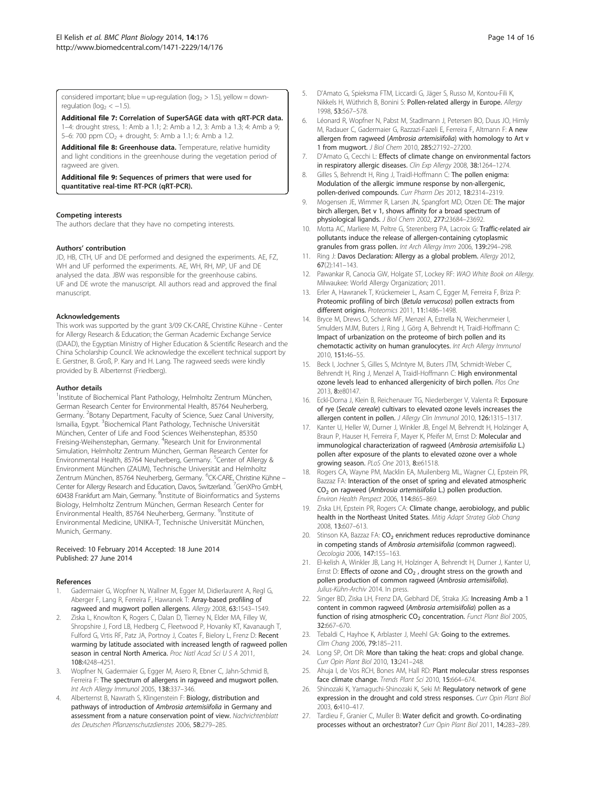<span id="page-13-0"></span>considered important; blue = up-regulation ( $log_2$  > 1.5), yellow = downregulation ( $log<sub>2</sub> < -1.5$ ).

[Additional file 7:](http://www.biomedcentral.com/content/supplementary/1471-2229-14-176-S7.pdf) Correlation of SuperSAGE data with qRT-PCR data.

1–4: drought stress, 1: Amb a 1.1; 2: Amb a 1.2, 3: Amb a 1.3; 4: Amb a 9; 5–6: 700 ppm  $CO_2$  + drought, 5: Amb a 1.1; 6: Amb a 1.2.

[Additional file 8:](http://www.biomedcentral.com/content/supplementary/1471-2229-14-176-S8.pdf) Greenhouse data. Temperature, relative humidity and light conditions in the greenhouse during the vegetation period of ragweed are given.

[Additional file 9:](http://www.biomedcentral.com/content/supplementary/1471-2229-14-176-S9.pdf) Sequences of primers that were used for quantitative real-time RT-PCR (qRT-PCR).

#### Competing interests

The authors declare that they have no competing interests.

#### Authors' contribution

JD, HB, CTH, UF and DE performed and designed the experiments. AE, FZ, WH and UF performed the experiments. AE, WH, RH, MP, UF and DE analysed the data. JBW was responsible for the greenhouse cabins. UF and DE wrote the manuscript. All authors read and approved the final manuscript.

#### Acknowledgements

This work was supported by the grant 3/09 CK-CARE, Christine Kühne - Center for Allergy Research & Education; the German Academic Exchange Service (DAAD), the Egyptian Ministry of Higher Education & Scientific Research and the China Scholarship Council. We acknowledge the excellent technical support by E. Gerstner, B. Groß, P. Kary and H. Lang. The ragweed seeds were kindly provided by B. Alberternst (Friedberg).

#### Author details

<sup>1</sup>Institute of Biochemical Plant Pathology, Helmholtz Zentrum München, German Research Center for Environmental Health, 85764 Neuherberg, Germany. <sup>2</sup>Botany Department, Faculty of Science, Suez Canal University, Ismailia, Egypt. <sup>3</sup>Biochemical Plant Pathology, Technische Universität München, Center of Life and Food Sciences Weihenstephan, 85350 Freising-Weihenstephan, Germany. <sup>4</sup>Research Unit for Environmental Simulation, Helmholtz Zentrum München, German Research Center for Environmental Health, 85764 Neuherberg, Germany. <sup>5</sup>Center of Allergy & Environment München (ZAUM), Technische Universität and Helmholtz Zentrum München, 85764 Neuherberg, Germany. <sup>6</sup>CK-CARE, Christine Kühne – Center for Allergy Research and Education, Davos, Switzerland. <sup>7</sup>GenXPro GmbH, 60438 Frankfurt am Main, Germany. <sup>8</sup>Institute of Bioinformatics and Systems Biology, Helmholtz Zentrum München, German Research Center for Environmental Health, 85764 Neuherberg, Germany. <sup>9</sup>Institute of Environmental Medicine, UNIKA-T, Technische Universität München, Munich, Germany.

#### Received: 10 February 2014 Accepted: 18 June 2014 Published: 27 June 2014

#### References

- 1. Gadermaier G, Wopfner N, Wallner M, Egger M, Didierlaurent A, Regl G, Aberger F, Lang R, Ferreira F, Hawranek T: Array-based profiling of ragweed and mugwort pollen allergens. Allergy 2008, 63:1543–1549.
- Ziska L, Knowlton K, Rogers C, Dalan D, Tierney N, Elder MA, Filley W, Shropshire J, Ford LB, Hedberg C, Fleetwood P, Hovanky KT, Kavanaugh T, Fulford G, Vrtis RF, Patz JA, Portnoy J, Coates F, Bielory L, Frenz D: Recent warming by latitude associated with increased length of ragweed pollen season in central North America. Proc Natl Acad Sci U S A 2011, 108:4248–4251.
- 3. Wopfner N, Gadermaier G, Egger M, Asero R, Ebner C, Jahn-Schmid B, Ferreira F: The spectrum of allergens in ragweed and mugwort pollen. Int Arch Allergy Immunol 2005, 138:337–346.
- 4. Alberternst B, Nawrath S, Klingenstein F: Biology, distribution and pathways of introduction of Ambrosia artemisiifolia in Germany and assessment from a nature conservation point of view. Nachrichtenblatt des Deutschen Pflanzenschutzdienstes 2006, 58:279–285.
- 5. D'Amato G, Spieksma FTM, Liccardi G, Jäger S, Russo M, Kontou-Fili K, Nikkels H, Wüthrich B, Bonini S: Pollen-related allergy in Europe. Allergy 1998, 53:567–578.
- 6. Léonard R, Wopfner N, Pabst M, Stadlmann J, Petersen BO, Duus JO, Himly M, Radauer C, Gadermaier G, Razzazi-Fazeli E, Ferreira F, Altmann F: A new allergen from ragweed (Ambrosia artemisiifolia) with homology to Art v 1 from mugwort. J Biol Chem 2010, 285:27192–27200.
- 7. D'Amato G, Cecchi L: Effects of climate change on environmental factors in respiratory allergic diseases. Clin Exp Allergy 2008, 38:1264-1274.
- 8. Gilles S, Behrendt H, Ring J, Traidl-Hoffmann C: The pollen enigma: Modulation of the allergic immune response by non-allergenic, pollen-derived compounds. Curr Pharm Des 2012, 18:2314–2319.
- 9. Mogensen JE, Wimmer R, Larsen JN, Spangfort MD, Otzen DE: The major birch allergen, Bet v 1, shows affinity for a broad spectrum of physiological ligands. J Biol Chem 2002, 277:23684–23692.
- 10. Motta AC, Marliere M, Peltre G, Sterenberg PA, Lacroix G: Traffic-related air pollutants induce the release of allergen-containing cytoplasmic granules from grass pollen. Int Arch Allergy Imm 2006, 139:294–298.
- 11. Ring J: Davos Declaration: Allergy as a global problem. Allergy 2012, 67(2):141–143.
- 12. Pawankar R, Canocia GW, Holgate ST, Lockey RF: WAO White Book on Allergy. Milwaukee: World Allergy Organization; 2011.
- 13. Erler A, Hawranek T, Krückemeier L, Asam C, Egger M, Ferreira F, Briza P: Proteomic profiling of birch (Betula verrucosa) pollen extracts from different origins. Proteomics 2011, 11:1486–1498.
- 14. Bryce M, Drews O, Schenk MF, Menzel A, Estrella N, Weichenmeier I, Smulders MJM, Buters J, Ring J, Görg A, Behrendt H, Traidl-Hoffmann C: Impact of urbanization on the proteome of birch pollen and its chemotactic activity on human granulocytes. Int Arch Allergy Immunol 2010, 151:46–55.
- 15. Beck I, Jochner S, Gilles S, McIntyre M, Buters JTM, Schmidt-Weber C, Behrendt H, Ring J, Menzel A, Traidl-Hoffmann C: High environmental ozone levels lead to enhanced allergenicity of birch pollen. Plos One 2013, 8:e80147.
- 16. Eckl-Dorna J, Klein B, Reichenauer TG, Niederberger V, Valenta R: Exposure of rye (Secale cereale) cultivars to elevated ozone levels increases the allergen content in pollen. J Allergy Clin Immunol 2010, 126:1315–1317.
- 17. Kanter U, Heller W, Durner J, Winkler JB, Engel M, Behrendt H, Holzinger A, Braun P, Hauser H, Ferreira F, Mayer K, Pfeifer M, Ernst D: Molecular and immunological characterization of ragweed (Ambrosia artemisiifolia L.) pollen after exposure of the plants to elevated ozone over a whole growing season. PLoS One 2013, 8:e61518.
- 18. Rogers CA, Wayne PM, Macklin EA, Muilenberg ML, Wagner CJ, Epstein PR, Bazzaz FA: Interaction of the onset of spring and elevated atmospheric CO<sub>2</sub> on ragweed (Ambrosia artemisiifolia L.) pollen production. Environ Health Perspect 2006, 114:865–869.
- 19. Ziska LH, Epstein PR, Rogers CA: Climate change, aerobiology, and public health in the Northeast United States. Mitig Adapt Strateg Glob Chang 2008, 13:607–613.
- 20. Stinson KA, Bazzaz FA: CO<sub>2</sub> enrichment reduces reproductive dominance in competing stands of Ambrosia artemisiifolia (common ragweed). Oecologia 2006, 147:155–163.
- 21. El-kelish A, Winkler JB, Lang H, Holzinger A, Behrendt H, Durner J, Kanter U, Ernst D: Effects of ozone and  $CO<sub>2</sub>$ , drought stress on the growth and pollen production of common ragweed (Ambrosia artemisiifolia). Julius-Kühn-Archiv 2014. In press.
- 22. Singer BD, Ziska LH, Frenz DA, Gebhard DE, Straka JG: Increasing Amb a 1 content in common ragweed (Ambrosia artemisiifolia) pollen as a function of rising atmospheric CO<sub>2</sub> concentration. Funct Plant Biol 2005, 32:667–670.
- 23. Tebaldi C, Hayhoe K, Arblaster J, Meehl GA: Going to the extremes. Clim Chang 2006, 79:185–211.
- 24. Long SP, Ort DR: More than taking the heat: crops and global change. Curr Opin Plant Biol 2010, 13:241–248.
- 25. Ahuja I, de Vos RCH, Bones AM, Hall RD: Plant molecular stress responses face climate change. Trends Plant Sci 2010, 15:664–674.
- 26. Shinozaki K, Yamaguchi-Shinozaki K, Seki M: Regulatory network of gene expression in the drought and cold stress responses. Curr Opin Plant Biol 2003, 6:410–417.
- 27. Tardieu F, Granier C, Muller B: Water deficit and growth. Co-ordinating processes without an orchestrator? Curr Opin Plant Biol 2011, 14:283–289.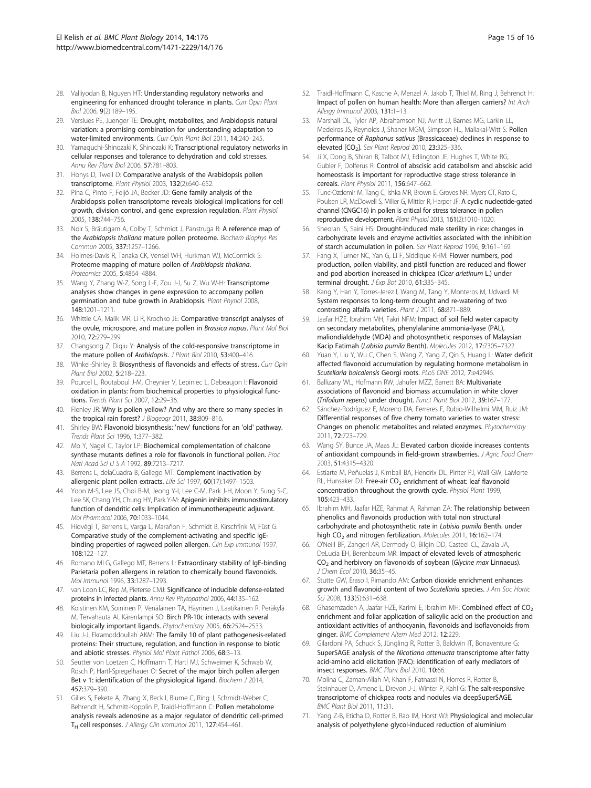- <span id="page-14-0"></span>28. Valliyodan B, Nguyen HT: Understanding regulatory networks and engineering for enhanced drought tolerance in plants. Curr Opin Plant Biol 2006, 9(2):189–195.
- 29. Verslues PE, Juenger TE: Drought, metabolites, and Arabidopsis natural variation: a promising combination for understanding adaptation to water-limited environments. Curr Opin Plant Biol 2011, 14:240-245.
- 30. Yamaguchi-Shinozaki K, Shinozaki K: Transcriptional regulatory networks in cellular responses and tolerance to dehydration and cold stresses. Annu Rev Plant Biol 2006, 57:781–803.
- 31. Honys D, Twell D: Comparative analysis of the Arabidopsis pollen transcriptome. Plant Physiol 2003, 132(2):640–652.
- 32. Pina C, Pinto F, Feijó JA, Becker JD: Gene family analysis of the Arabidopsis pollen transcriptome reveals biological implications for cell growth, division control, and gene expression regulation. Plant Physiol 2005, 138:744–756.
- 33. Noir S, Bräutigam A, Colby T, Schmidt J, Panstruga R: A reference map of the Arabidopsis thaliana mature pollen proteome. Biochem Biophys Res Commun 2005, 337:1257–1266.
- 34. Holmes-Davis R, Tanaka CK, Vensel WH, Hurkman WJ, McCormick S: Proteome mapping of mature pollen of Arabidopsis thaliana. Proteomics 2005, 5:4864–4884.
- 35. Wang Y, Zhang W-Z, Song L-F, Zou J-J, Su Z, Wu W-H: Transcriptome analyses show changes in gene expression to accompany pollen germination and tube growth in Arabidopsis. Plant Physiol 2008, 148:1201–1211.
- 36. Whittle CA, Malik MR, Li R, Krochko JE: Comparative transcript analyses of the ovule, microspore, and mature pollen in Brassica napus. Plant Mol Biol 2010, 72:279–299.
- 37. Changsong Z, Diqiu Y: Analysis of the cold-responsive transcriptome in the mature pollen of Arabidopsis. J Plant Biol 2010, 53:400-416.
- 38. Winkel-Shirley B: Biosynthesis of flavonoids and effects of stress. Curr Opin Plant Biol 2002, 5:218–223.
- 39. Pourcel L, Routaboul J-M, Cheynier V, Lepiniec L, Debeaujon I: Flavonoid oxidation in plants: from biochemical properties to physiological functions. Trends Plant Sci 2007, 12:29–36.
- 40. Flenley JR: Why is pollen yellow? And why are there so many species in the tropical rain forest? J Biogeogr 2011, 38:809-816.
- 41. Shirley BW: Flavonoid biosynthesis: 'new' functions for an 'old' pathway. Trends Plant Sci 1996, 1:377–382.
- 42. Mo Y, Nagel C, Taylor LP: Biochemical complementation of chalcone synthase mutants defines a role for flavonols in functional pollen. Proc Natl Acad Sci U S A 1992, 89:7213–7217.
- 43. Berrens L, delaCuadra B, Gallego MT: Complement inactivation by allergenic plant pollen extracts. Life Sci 1997, 60(17):1497–1503.
- 44. Yoon M-S, Lee JS, Choi B-M, Jeong Y-I, Lee C-M, Park J-H, Moon Y, Sung S-C, Lee SK, Chang YH, Chung HY, Park Y-M: Apigenin inhibits immunostimulatory function of dendritic cells: Implication of immunotherapeutic adjuvant. Mol Pharmacol 2006, 70:1033–1044.
- 45. Hidvégi T, Berrens L, Varga L, Marañon F, Schmidt B, Kirschfink M, Füst G: Comparative study of the complement-activating and specific IgEbinding properties of ragweed pollen allergen. Clin Exp Immunol 1997, 108:122–127.
- 46. Romano MLG, Gallego MT, Berrens L: Extraordinary stability of IgE-binding Parietaria pollen allergens in relation to chemically bound flavonoids. Mol Immunol 1996, 33:1287–1293.
- 47. van Loon LC, Rep M, Pieterse CMJ: Significance of inducible defense-related proteins in infected plants. Annu Rev Phytopathol 2006, 44:135–162.
- 48. Koistinen KM, Soininen P, Venäläinen TA, Häyrinen J, Laatikainen R, Peräkylä M, Tervahauta AI, Kärenlampi SO: Birch PR-10c interacts with several biologically important ligands. Phytochemistry 2005, 66:2524–2533.
- 49. Liu J-J, Ekramoddoullah AKM: The family 10 of plant pathogenesis-related proteins: Their structure, regulation, and function in response to biotic and abiotic stresses. Physiol Mol Plant Pathol 2006, 68:3–13.
- 50. Seutter von Loetzen C, Hoffmann T, Hartl MJ, Schweimer K, Schwab W, Rösch P, Hartl-Spiegelhauer O: Secret of the major birch pollen allergen Bet v 1: identification of the physiological ligand. Biochem J 2014, 457:379–390.
- 51. Gilles S, Fekete A, Zhang X, Beck I, Blume C, Ring J, Schmidt-Weber C, Behrendt H, Schmitt-Kopplin P, Traidl-Hoffmann C: Pollen metabolome analysis reveals adenosine as a major regulator of dendritic cell-primed TH cell responses. J Allergy Clin Immunol 2011, 127:454-461.
- 52. Traidl-Hoffmann C, Kasche A, Menzel A, Jakob T, Thiel M, Ring J, Behrendt H: Impact of pollen on human health: More than allergen carriers? Int Arch Allergy Immunol 2003, 131:1–13.
- 53. Marshall DL, Tyler AP, Abrahamson NJ, Avritt JJ, Barnes MG, Larkin LL, Medeiros JS, Reynolds J, Shaner MGM, Simpson HL, Maliakal-Witt S: Pollen performance of Raphanus sativus (Brassicaceae) declines in response to elevated [CO<sub>2</sub>]. Sex Plant Reprod 2010, 23:325-336.
- 54. Ji X, Dong B, Shiran B, Talbot MJ, Edlington JE, Hughes T, White RG, Gubler F, Dolferus R: Control of abscisic acid catabolism and abscisic acid homeostasis is important for reproductive stage stress tolerance in cereals. Plant Physiol 2011, 156:647–662.
- 55. Tunc-Ozdemir M, Tang C, Ishka MR, Brown E, Groves NR, Myers CT, Rato C, Poulsen LR, McDowell S, Miller G, Mittler R, Harper JF: A cyclic nucleotide-gated channel (CNGC16) in pollen is critical for stress tolerance in pollen reproductive development. Plant Physiol 2013, 161(2):1010–1020.
- Sheoran IS, Saini HS: Drought-induced male sterility in rice: changes in carbohydrate levels and enzyme activities associated with the inhibition of starch accumulation in pollen. Sex Plant Reprod 1996, 9:161–169.
- 57. Fang X, Turner NC, Yan G, Li F, Siddique KHM: Flower numbers, pod production, pollen viability, and pistil function are reduced and flower and pod abortion increased in chickpea (Cicer arietinum L.) under terminal drought. J Exp Bot 2010, 61:335–345.
- 58. Kang Y, Han Y, Torres-Jerez I, Wang M, Tang Y, Monteros M, Udvardi M: System responses to long-term drought and re-watering of two contrasting alfalfa varieties. Plant J 2011, 68:871-889.
- 59. Jaafar HZE, Ibrahim MH, Fakri NFM: Impact of soil field water capacity on secondary metabolites, phenylalanine ammonia-lyase (PAL), maliondialdehyde (MDA) and photosynthetic responses of Malaysian Kacip Fatimah (Labisia pumila Benth). Molecules 2012, 17:7305–7322.
- 60. Yuan Y, Liu Y, Wu C, Chen S, Wang Z, Yang Z, Qin S, Huang L: Water deficit affected flavonoid accumulation by regulating hormone metabolism in Scutellaria baicalensis Georgi roots. PLoS ONE 2012, 7:e42946.
- 61. Ballizany WL, Hofmann RW, Jahufer MZZ, Barrett BA: Multivariate associations of flavonoid and biomass accumulation in white clover (Trifolium repens) under drought. Funct Plant Biol 2012, 39:167–177.
- Sánchez-Rodríguez E, Moreno DA, Ferreres F, Rubio-Wilhelmi MM, Ruiz JM: Differential responses of five cherry tomato varieties to water stress: Changes on phenolic metabolites and related enzymes. Phytochemistry 2011, 72:723–729.
- 63. Wang SY, Bunce JA, Maas JL: Elevated carbon dioxide increases contents of antioxidant compounds in field-grown strawberries. J Agric Food Chem 2003, 51:4315–4320.
- Estiarte M, Peñuelas J, Kimball BA, Hendrix DL, Pinter PJ, Wall GW, LaMorte RL, Hunsaker DJ: Free-air CO<sub>2</sub> enrichment of wheat: leaf flavonoid concentration throughout the growth cycle. Physiol Plant 1999, 105:423–433.
- 65. Ibrahim MH, Jaafar HZE, Rahmat A, Rahman ZA: The relationship between phenolics and flavonoids production with total non structural carbohydrate and photosynthetic rate in Labisia pumila Benth. under high CO<sub>2</sub> and nitrogen fertilization. Molecules 2011, 16:162-174
- 66. O'Neill BF, Zangerl AR, Dermody O, Bilgin DD, Casteel CL, Zavala JA, DeLucia EH, Berenbaum MR: Impact of elevated levels of atmospheric  $CO<sub>2</sub>$  and herbivory on flavonoids of soybean (Glycine max Linnaeus). J Chem Ecol 2010, 36:35–45.
- 67. Stutte GW, Eraso I, Rimando AM: Carbon dioxide enrichment enhances growth and flavonoid content of two Scutellaria species. J Am Soc Hortic Sci 2008, 133(5):631-638.
- 68. Ghasemzadeh A, Jaafar HZE, Karimi E, Ibrahim MH: Combined effect of CO<sub>2</sub> enrichment and foliar application of salicylic acid on the production and antioxidant activities of anthocyanin, flavonoids and isoflavonoids from ginger. BMC Complement Altern Med 2012, 12:229.
- Gilardoni PA, Schuck S, Jüngling R, Rotter B, Baldwin IT, Bonaventure G: SuperSAGE analysis of the Nicotiana attenuata transcriptome after fatty acid-amino acid elicitation (FAC): identification of early mediators of insect responses. BMC Plant Biol 2010, 10:66.
- 70. Molina C, Zaman-Allah M, Khan F, Fatnassi N, Horres R, Rotter B, Steinhauer D, Amenc L, Drevon J-J, Winter P, Kahl G: The salt-responsive transcriptome of chickpea roots and nodules via deepSuperSAGE. BMC Plant Biol 2011, 11:31.
- 71. Yang Z-B, Eticha D, Rotter B, Rao IM, Horst WJ: Physiological and molecular analysis of polyethylene glycol-induced reduction of aluminium